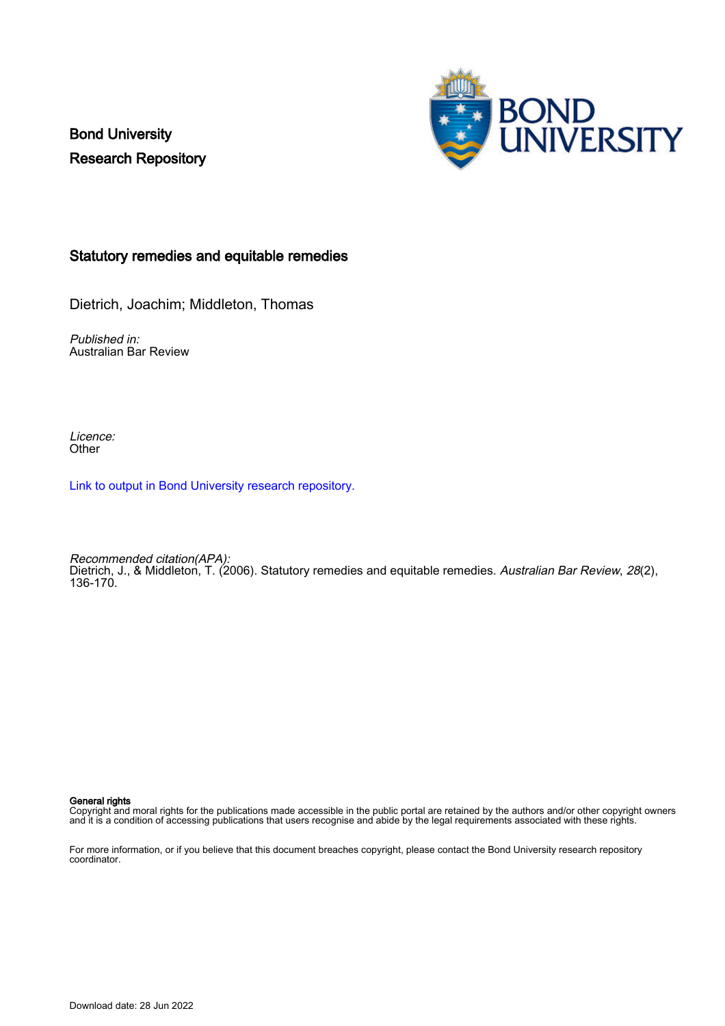Bond University Research Repository



# Statutory remedies and equitable remedies

Dietrich, Joachim; Middleton, Thomas

Published in: Australian Bar Review

Licence: **Other** 

[Link to output in Bond University research repository.](https://research.bond.edu.au/en/publications/625fc4d5-8be5-4ba3-92af-f59d75b4e897)

Recommended citation(APA): Dietrich, J., & Middleton, T. (2006). Statutory remedies and equitable remedies. Australian Bar Review, 28(2), 136-170.

General rights

Copyright and moral rights for the publications made accessible in the public portal are retained by the authors and/or other copyright owners and it is a condition of accessing publications that users recognise and abide by the legal requirements associated with these rights.

For more information, or if you believe that this document breaches copyright, please contact the Bond University research repository coordinator.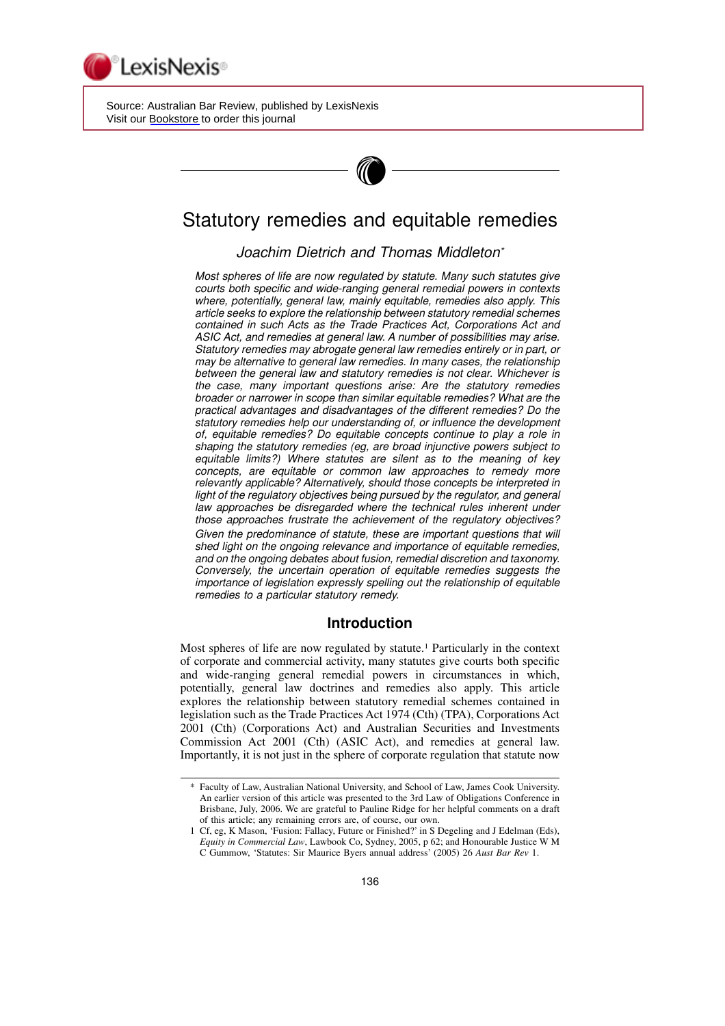

 Source: Australian Bar Review, published by LexisNexis Visit our [Bookstore](http://www.lexisnexis.com/store/catalog/catalog.jsp?pageName=catalogProducts&catId=9991&id=cat30006) to order this journal



# Statutory remedies and equitable remedies

# Joachim Dietrich and Thomas Middleton\*

Most spheres of life are now regulated by statute. Many such statutes give courts both specific and wide-ranging general remedial powers in contexts where, potentially, general law, mainly equitable, remedies also apply. This article seeks to explore the relationship between statutory remedial schemes contained in such Acts as the Trade Practices Act, Corporations Act and ASIC Act, and remedies at general law. A number of possibilities may arise. Statutory remedies may abrogate general law remedies entirely or in part, or may be alternative to general law remedies. In many cases, the relationship between the general law and statutory remedies is not clear. Whichever is the case, many important questions arise: Are the statutory remedies broader or narrower in scope than similar equitable remedies? What are the practical advantages and disadvantages of the different remedies? Do the statutory remedies help our understanding of, or influence the development of, equitable remedies? Do equitable concepts continue to play a role in shaping the statutory remedies (eg, are broad injunctive powers subject to equitable limits?) Where statutes are silent as to the meaning of key concepts, are equitable or common law approaches to remedy more relevantly applicable? Alternatively, should those concepts be interpreted in light of the regulatory objectives being pursued by the regulator, and general law approaches be disregarded where the technical rules inherent under those approaches frustrate the achievement of the regulatory objectives? Given the predominance of statute, these are important questions that will shed light on the ongoing relevance and importance of equitable remedies, and on the ongoing debates about fusion, remedial discretion and taxonomy. Conversely, the uncertain operation of equitable remedies suggests the importance of legislation expressly spelling out the relationship of equitable remedies to a particular statutory remedy.

# Introduction

Most spheres of life are now regulated by statute.<sup>1</sup> Particularly in the context of corporate and commercial activity, many statutes give courts both specific and wide-ranging general remedial powers in circumstances in which, potentially, general law doctrines and remedies also apply. This article explores the relationship between statutory remedial schemes contained in legislation such as the Trade Practices Act 1974 (Cth) (TPA), Corporations Act 2001 (Cth) (Corporations Act) and Australian Securities and Investments Commission Act 2001 (Cth) (ASIC Act), and remedies at general law. Importantly, it is not just in the sphere of corporate regulation that statute now

<sup>\*</sup> Faculty of Law, Australian National University, and School of Law, James Cook University. An earlier version of this article was presented to the 3rd Law of Obligations Conference in Brisbane, July, 2006. We are grateful to Pauline Ridge for her helpful comments on a draft of this article; any remaining errors are, of course, our own.

<sup>1</sup> Cf, eg, K Mason, 'Fusion: Fallacy, Future or Finished?' in S Degeling and J Edelman (Eds), Equity in Commercial Law, Lawbook Co, Sydney, 2005, p 62; and Honourable Justice W M C Gummow, 'Statutes: Sir Maurice Byers annual address' (2005) 26 Aust Bar Rev 1.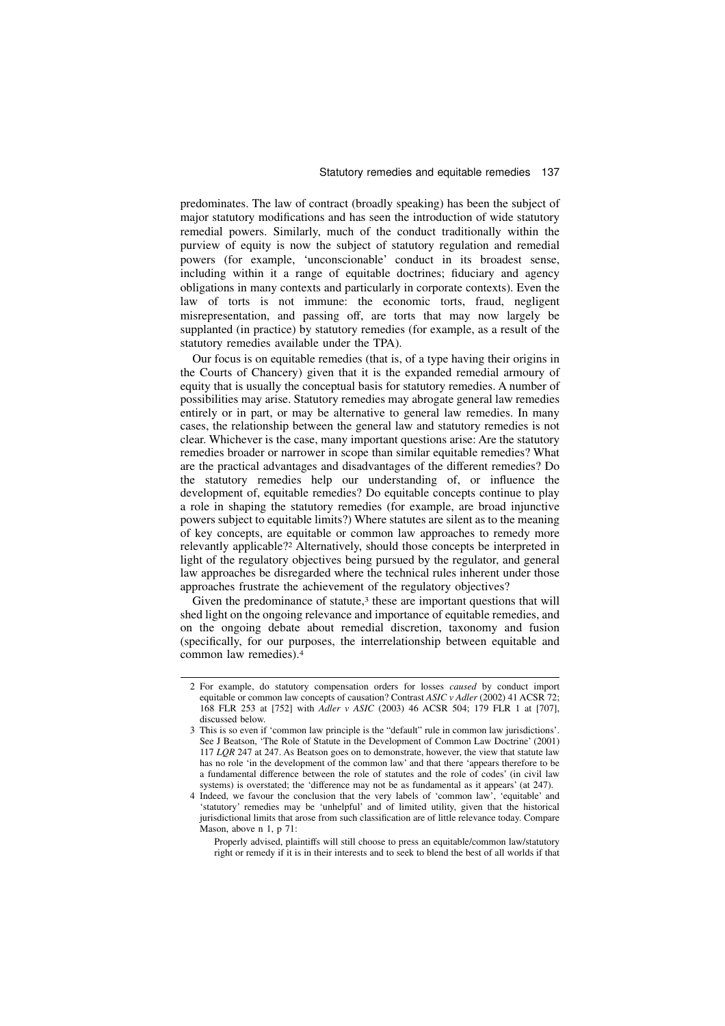predominates. The law of contract (broadly speaking) has been the subject of major statutory modifications and has seen the introduction of wide statutory remedial powers. Similarly, much of the conduct traditionally within the purview of equity is now the subject of statutory regulation and remedial powers (for example, 'unconscionable' conduct in its broadest sense, including within it a range of equitable doctrines; fiduciary and agency obligations in many contexts and particularly in corporate contexts). Even the law of torts is not immune: the economic torts, fraud, negligent misrepresentation, and passing off, are torts that may now largely be supplanted (in practice) by statutory remedies (for example, as a result of the statutory remedies available under the TPA).

Our focus is on equitable remedies (that is, of a type having their origins in the Courts of Chancery) given that it is the expanded remedial armoury of equity that is usually the conceptual basis for statutory remedies. A number of possibilities may arise. Statutory remedies may abrogate general law remedies entirely or in part, or may be alternative to general law remedies. In many cases, the relationship between the general law and statutory remedies is not clear. Whichever is the case, many important questions arise: Are the statutory remedies broader or narrower in scope than similar equitable remedies? What are the practical advantages and disadvantages of the different remedies? Do the statutory remedies help our understanding of, or influence the development of, equitable remedies? Do equitable concepts continue to play a role in shaping the statutory remedies (for example, are broad injunctive powers subject to equitable limits?) Where statutes are silent as to the meaning of key concepts, are equitable or common law approaches to remedy more relevantly applicable?<sup>2</sup> Alternatively, should those concepts be interpreted in light of the regulatory objectives being pursued by the regulator, and general law approaches be disregarded where the technical rules inherent under those approaches frustrate the achievement of the regulatory objectives?

Given the predominance of statute,<sup>3</sup> these are important questions that will shed light on the ongoing relevance and importance of equitable remedies, and on the ongoing debate about remedial discretion, taxonomy and fusion (specifically, for our purposes, the interrelationship between equitable and common law remedies).<sup>4</sup>

<sup>2</sup> For example, do statutory compensation orders for losses caused by conduct import equitable or common law concepts of causation? Contrast ASIC v Adler (2002) 41 ACSR 72; 168 FLR 253 at [752] with Adler v ASIC (2003) 46 ACSR 504; 179 FLR 1 at [707], discussed below.

<sup>3</sup> This is so even if 'common law principle is the "default" rule in common law jurisdictions'. See J Beatson, 'The Role of Statute in the Development of Common Law Doctrine' (2001) 117 LQR 247 at 247. As Beatson goes on to demonstrate, however, the view that statute law has no role 'in the development of the common law' and that there 'appears therefore to be a fundamental difference between the role of statutes and the role of codes' (in civil law systems) is overstated; the 'difference may not be as fundamental as it appears' (at 247).

<sup>4</sup> Indeed, we favour the conclusion that the very labels of 'common law', 'equitable' and 'statutory' remedies may be 'unhelpful' and of limited utility, given that the historical jurisdictional limits that arose from such classification are of little relevance today. Compare Mason, above n 1, p 71:

Properly advised, plaintiffs will still choose to press an equitable/common law/statutory right or remedy if it is in their interests and to seek to blend the best of all worlds if that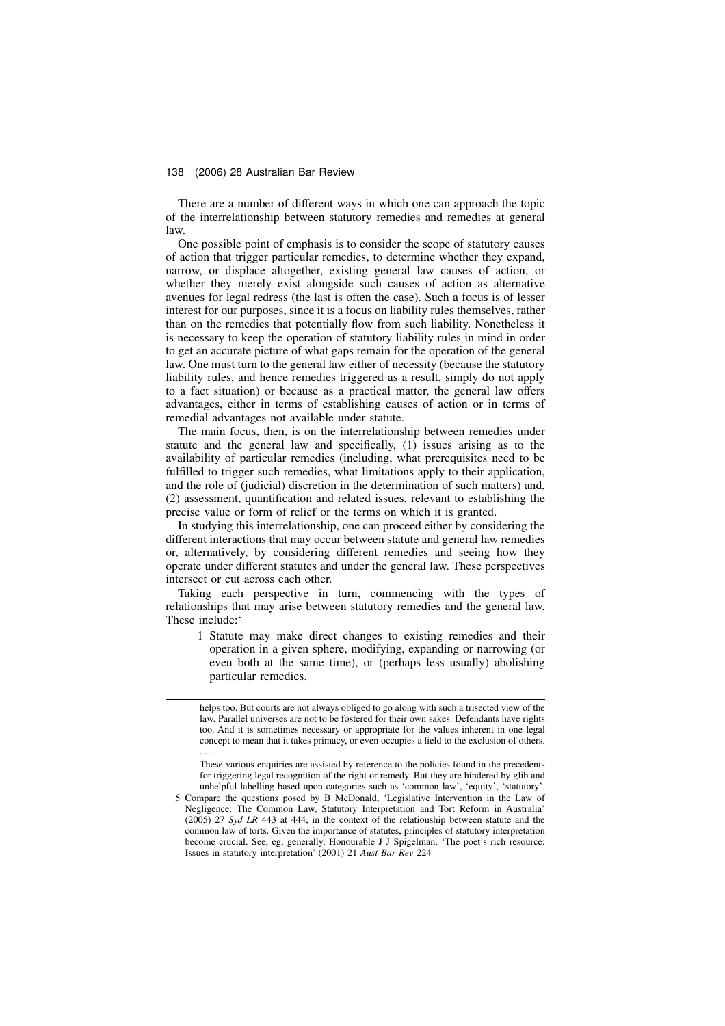There are a number of different ways in which one can approach the topic of the interrelationship between statutory remedies and remedies at general law.

One possible point of emphasis is to consider the scope of statutory causes of action that trigger particular remedies, to determine whether they expand, narrow, or displace altogether, existing general law causes of action, or whether they merely exist alongside such causes of action as alternative avenues for legal redress (the last is often the case). Such a focus is of lesser interest for our purposes, since it is a focus on liability rules themselves, rather than on the remedies that potentially flow from such liability. Nonetheless it is necessary to keep the operation of statutory liability rules in mind in order to get an accurate picture of what gaps remain for the operation of the general law. One must turn to the general law either of necessity (because the statutory liability rules, and hence remedies triggered as a result, simply do not apply to a fact situation) or because as a practical matter, the general law offers advantages, either in terms of establishing causes of action or in terms of remedial advantages not available under statute.

The main focus, then, is on the interrelationship between remedies under statute and the general law and specifically, (1) issues arising as to the availability of particular remedies (including, what prerequisites need to be fulfilled to trigger such remedies, what limitations apply to their application, and the role of (judicial) discretion in the determination of such matters) and, (2) assessment, quantification and related issues, relevant to establishing the precise value or form of relief or the terms on which it is granted.

In studying this interrelationship, one can proceed either by considering the different interactions that may occur between statute and general law remedies or, alternatively, by considering different remedies and seeing how they operate under different statutes and under the general law. These perspectives intersect or cut across each other.

Taking each perspective in turn, commencing with the types of relationships that may arise between statutory remedies and the general law. These include:<sup>5</sup>

1 Statute may make direct changes to existing remedies and their operation in a given sphere, modifying, expanding or narrowing (or even both at the same time), or (perhaps less usually) abolishing particular remedies.

helps too. But courts are not always obliged to go along with such a trisected view of the law. Parallel universes are not to be fostered for their own sakes. Defendants have rights too. And it is sometimes necessary or appropriate for the values inherent in one legal concept to mean that it takes primacy, or even occupies a field to the exclusion of others. . . .

These various enquiries are assisted by reference to the policies found in the precedents for triggering legal recognition of the right or remedy. But they are hindered by glib and unhelpful labelling based upon categories such as 'common law', 'equity', 'statutory'.

<sup>5</sup> Compare the questions posed by B McDonald, 'Legislative Intervention in the Law of Negligence: The Common Law, Statutory Interpretation and Tort Reform in Australia'  $(2005)$  27 Syd LR 443 at 444, in the context of the relationship between statute and the common law of torts. Given the importance of statutes, principles of statutory interpretation become crucial. See, eg, generally, Honourable J J Spigelman, 'The poet's rich resource: Issues in statutory interpretation' (2001) 21 Aust Bar Rev 224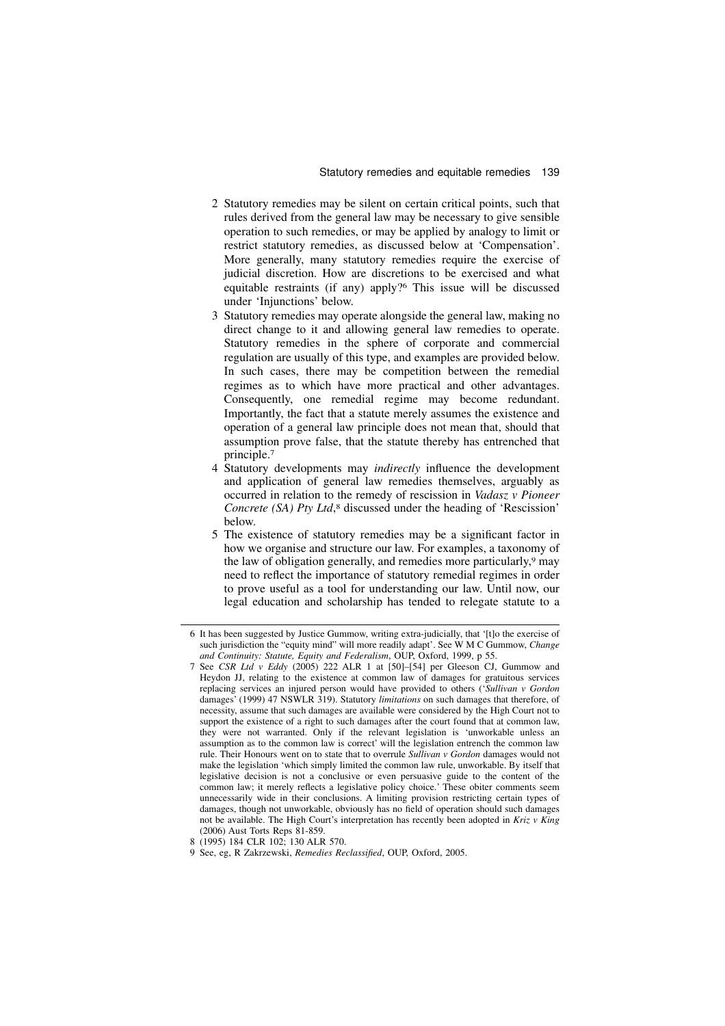- 2 Statutory remedies may be silent on certain critical points, such that rules derived from the general law may be necessary to give sensible operation to such remedies, or may be applied by analogy to limit or restrict statutory remedies, as discussed below at 'Compensation'. More generally, many statutory remedies require the exercise of judicial discretion. How are discretions to be exercised and what equitable restraints (if any) apply?<sup>6</sup> This issue will be discussed under 'Injunctions' below.
- 3 Statutory remedies may operate alongside the general law, making no direct change to it and allowing general law remedies to operate. Statutory remedies in the sphere of corporate and commercial regulation are usually of this type, and examples are provided below. In such cases, there may be competition between the remedial regimes as to which have more practical and other advantages. Consequently, one remedial regime may become redundant. Importantly, the fact that a statute merely assumes the existence and operation of a general law principle does not mean that, should that assumption prove false, that the statute thereby has entrenched that principle.<sup>7</sup>
- 4 Statutory developments may indirectly influence the development and application of general law remedies themselves, arguably as occurred in relation to the remedy of rescission in Vadasz v Pioneer Concrete (SA) Pty Ltd,<sup>8</sup> discussed under the heading of 'Rescission' below.
- 5 The existence of statutory remedies may be a significant factor in how we organise and structure our law. For examples, a taxonomy of the law of obligation generally, and remedies more particularly,<sup>9</sup> may need to reflect the importance of statutory remedial regimes in order to prove useful as a tool for understanding our law. Until now, our legal education and scholarship has tended to relegate statute to a

<sup>6</sup> It has been suggested by Justice Gummow, writing extra-judicially, that '[t]o the exercise of such jurisdiction the "equity mind" will more readily adapt'. See W M C Gummow, *Change* and Continuity: Statute, Equity and Federalism, OUP, Oxford, 1999, p 55.

<sup>7</sup> See CSR Ltd v Eddy (2005) 222 ALR 1 at [50]–[54] per Gleeson CJ, Gummow and Heydon JJ, relating to the existence at common law of damages for gratuitous services replacing services an injured person would have provided to others ('Sullivan v Gordon damages' (1999) 47 NSWLR 319). Statutory limitations on such damages that therefore, of necessity, assume that such damages are available were considered by the High Court not to support the existence of a right to such damages after the court found that at common law, they were not warranted. Only if the relevant legislation is 'unworkable unless an assumption as to the common law is correct' will the legislation entrench the common law rule. Their Honours went on to state that to overrule Sullivan v Gordon damages would not make the legislation 'which simply limited the common law rule, unworkable. By itself that legislative decision is not a conclusive or even persuasive guide to the content of the common law; it merely reflects a legislative policy choice.' These obiter comments seem unnecessarily wide in their conclusions. A limiting provision restricting certain types of damages, though not unworkable, obviously has no field of operation should such damages not be available. The High Court's interpretation has recently been adopted in Kriz v King (2006) Aust Torts Reps 81-859.

<sup>8 (1995) 184</sup> CLR 102; 130 ALR 570.

<sup>9</sup> See, eg, R Zakrzewski, Remedies Reclassified, OUP, Oxford, 2005.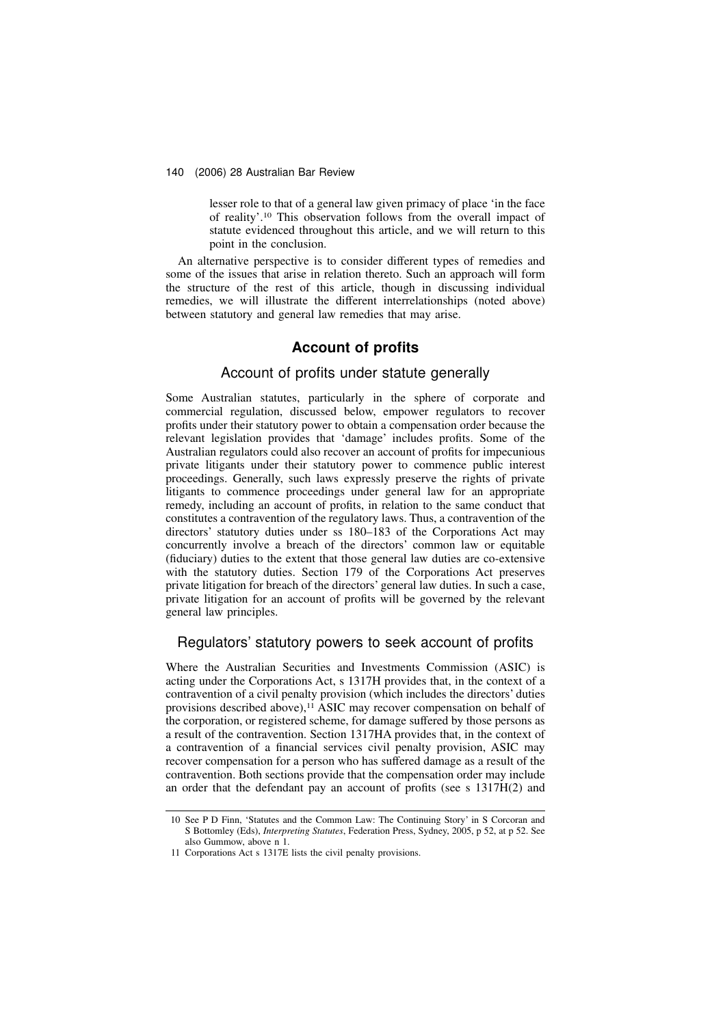lesser role to that of a general law given primacy of place 'in the face of reality'.<sup>10</sup> This observation follows from the overall impact of statute evidenced throughout this article, and we will return to this point in the conclusion.

An alternative perspective is to consider different types of remedies and some of the issues that arise in relation thereto. Such an approach will form the structure of the rest of this article, though in discussing individual remedies, we will illustrate the different interrelationships (noted above) between statutory and general law remedies that may arise.

# Account of profits

### Account of profits under statute generally

Some Australian statutes, particularly in the sphere of corporate and commercial regulation, discussed below, empower regulators to recover profits under their statutory power to obtain a compensation order because the relevant legislation provides that 'damage' includes profits. Some of the Australian regulators could also recover an account of profits for impecunious private litigants under their statutory power to commence public interest proceedings. Generally, such laws expressly preserve the rights of private litigants to commence proceedings under general law for an appropriate remedy, including an account of profits, in relation to the same conduct that constitutes a contravention of the regulatory laws. Thus, a contravention of the directors' statutory duties under ss 180–183 of the Corporations Act may concurrently involve a breach of the directors' common law or equitable (fiduciary) duties to the extent that those general law duties are co-extensive with the statutory duties. Section 179 of the Corporations Act preserves private litigation for breach of the directors' general law duties. In such a case, private litigation for an account of profits will be governed by the relevant general law principles.

### Regulators' statutory powers to seek account of profits

Where the Australian Securities and Investments Commission (ASIC) is acting under the Corporations Act, s 1317H provides that, in the context of a contravention of a civil penalty provision (which includes the directors' duties provisions described above),<sup>11</sup> ASIC may recover compensation on behalf of the corporation, or registered scheme, for damage suffered by those persons as a result of the contravention. Section 1317HA provides that, in the context of a contravention of a financial services civil penalty provision, ASIC may recover compensation for a person who has suffered damage as a result of the contravention. Both sections provide that the compensation order may include an order that the defendant pay an account of profits (see s 1317H(2) and

<sup>10</sup> See P D Finn, 'Statutes and the Common Law: The Continuing Story' in S Corcoran and S Bottomley (Eds), Interpreting Statutes, Federation Press, Sydney, 2005, p 52, at p 52. See also Gummow, above n 1.

<sup>11</sup> Corporations Act s 1317E lists the civil penalty provisions.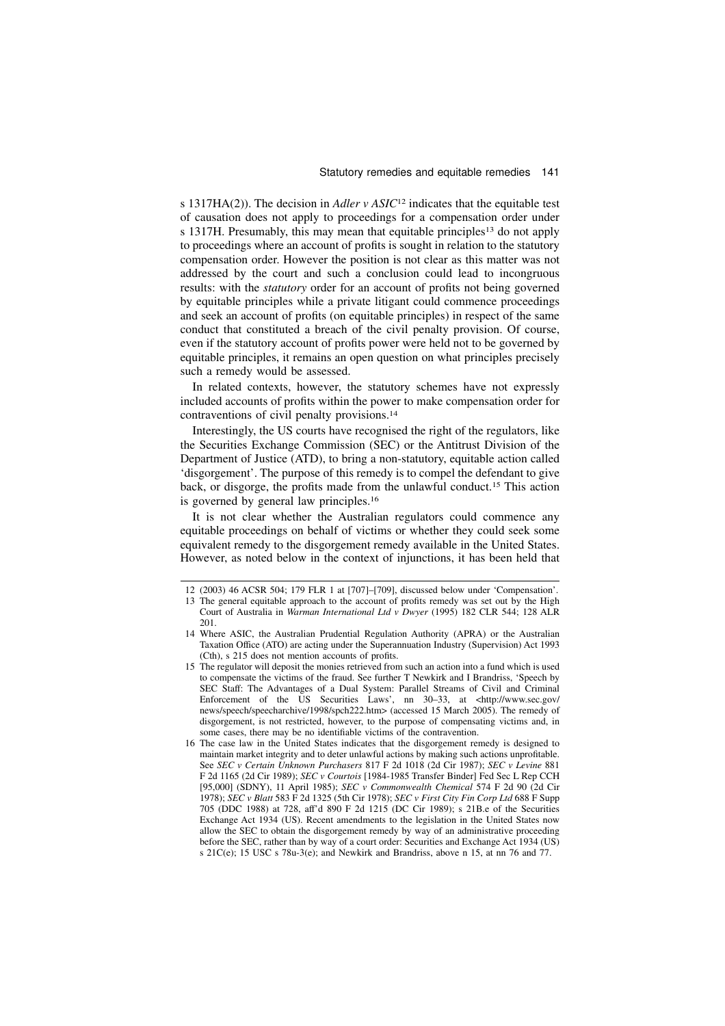s 1317HA(2)). The decision in Adler v ASIC<sup>12</sup> indicates that the equitable test of causation does not apply to proceedings for a compensation order under s 1317H. Presumably, this may mean that equitable principles<sup>13</sup> do not apply to proceedings where an account of profits is sought in relation to the statutory compensation order. However the position is not clear as this matter was not addressed by the court and such a conclusion could lead to incongruous results: with the statutory order for an account of profits not being governed by equitable principles while a private litigant could commence proceedings and seek an account of profits (on equitable principles) in respect of the same conduct that constituted a breach of the civil penalty provision. Of course, even if the statutory account of profits power were held not to be governed by equitable principles, it remains an open question on what principles precisely such a remedy would be assessed.

In related contexts, however, the statutory schemes have not expressly included accounts of profits within the power to make compensation order for contraventions of civil penalty provisions.<sup>14</sup>

Interestingly, the US courts have recognised the right of the regulators, like the Securities Exchange Commission (SEC) or the Antitrust Division of the Department of Justice (ATD), to bring a non-statutory, equitable action called 'disgorgement'. The purpose of this remedy is to compel the defendant to give back, or disgorge, the profits made from the unlawful conduct.<sup>15</sup> This action is governed by general law principles.<sup>16</sup>

It is not clear whether the Australian regulators could commence any equitable proceedings on behalf of victims or whether they could seek some equivalent remedy to the disgorgement remedy available in the United States. However, as noted below in the context of injunctions, it has been held that

<sup>12 (2003) 46</sup> ACSR 504; 179 FLR 1 at [707]–[709], discussed below under 'Compensation'.

<sup>13</sup> The general equitable approach to the account of profits remedy was set out by the High Court of Australia in Warman International Ltd v Dwyer (1995) 182 CLR 544; 128 ALR 201.

<sup>14</sup> Where ASIC, the Australian Prudential Regulation Authority (APRA) or the Australian Taxation Office (ATO) are acting under the Superannuation Industry (Supervision) Act 1993 (Cth), s 215 does not mention accounts of profits.

<sup>15</sup> The regulator will deposit the monies retrieved from such an action into a fund which is used to compensate the victims of the fraud. See further T Newkirk and I Brandriss, 'Speech by SEC Staff: The Advantages of a Dual System: Parallel Streams of Civil and Criminal Enforcement of the US Securities Laws', nn 30–33, at <http://www.sec.gov/ news/speech/speecharchive/1998/spch222.htm> (accessed 15 March 2005). The remedy of disgorgement, is not restricted, however, to the purpose of compensating victims and, in some cases, there may be no identifiable victims of the contravention.

<sup>16</sup> The case law in the United States indicates that the disgorgement remedy is designed to maintain market integrity and to deter unlawful actions by making such actions unprofitable. See SEC v Certain Unknown Purchasers 817 F 2d 1018 (2d Cir 1987); SEC v Levine 881 F 2d 1165 (2d Cir 1989); SEC v Courtois [1984-1985 Transfer Binder] Fed Sec L Rep CCH [95,000] (SDNY), 11 April 1985); SEC v Commonwealth Chemical 574 F 2d 90 (2d Cir 1978); SEC v Blatt 583 F 2d 1325 (5th Cir 1978); SEC v First City Fin Corp Ltd 688 F Supp 705 (DDC 1988) at 728, aff'd 890 F 2d 1215 (DC Cir 1989); s 21B.e of the Securities Exchange Act 1934 (US). Recent amendments to the legislation in the United States now allow the SEC to obtain the disgorgement remedy by way of an administrative proceeding before the SEC, rather than by way of a court order: Securities and Exchange Act 1934 (US) s 21C(e); 15 USC s 78u-3(e); and Newkirk and Brandriss, above n 15, at nn 76 and 77.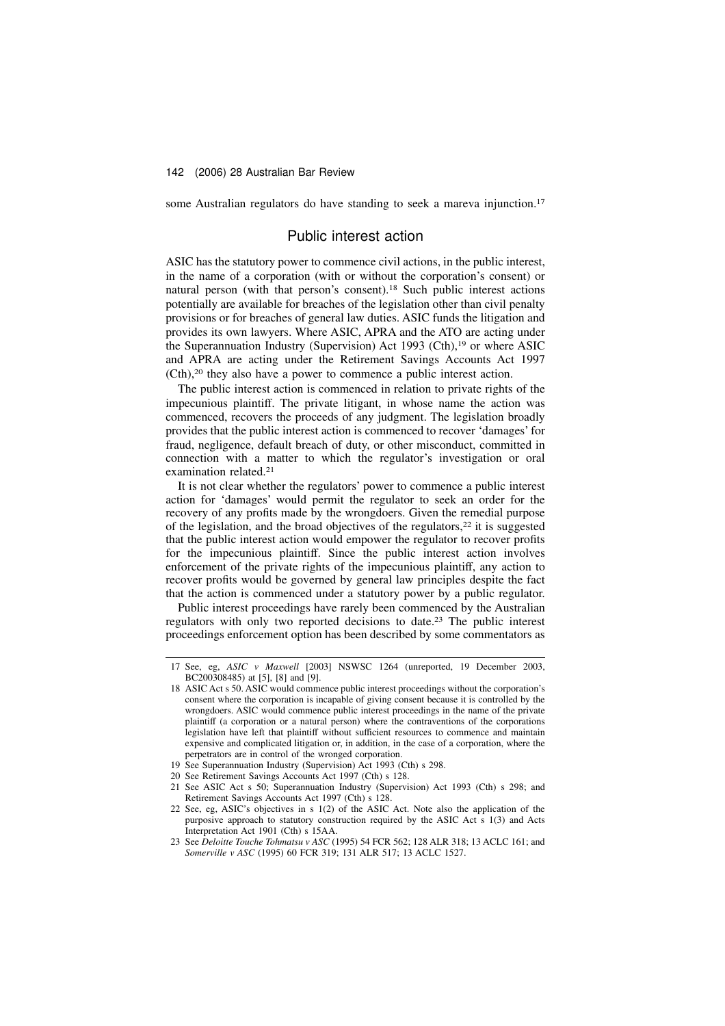some Australian regulators do have standing to seek a mareva injunction.<sup>17</sup>

### Public interest action

ASIC has the statutory power to commence civil actions, in the public interest, in the name of a corporation (with or without the corporation's consent) or natural person (with that person's consent).<sup>18</sup> Such public interest actions potentially are available for breaches of the legislation other than civil penalty provisions or for breaches of general law duties. ASIC funds the litigation and provides its own lawyers. Where ASIC, APRA and the ATO are acting under the Superannuation Industry (Supervision) Act 1993 (Cth),<sup>19</sup> or where ASIC and APRA are acting under the Retirement Savings Accounts Act 1997 (Cth),<sup>20</sup> they also have a power to commence a public interest action.

The public interest action is commenced in relation to private rights of the impecunious plaintiff. The private litigant, in whose name the action was commenced, recovers the proceeds of any judgment. The legislation broadly provides that the public interest action is commenced to recover 'damages' for fraud, negligence, default breach of duty, or other misconduct, committed in connection with a matter to which the regulator's investigation or oral examination related.<sup>21</sup>

It is not clear whether the regulators' power to commence a public interest action for 'damages' would permit the regulator to seek an order for the recovery of any profits made by the wrongdoers. Given the remedial purpose of the legislation, and the broad objectives of the regulators,<sup>22</sup> it is suggested that the public interest action would empower the regulator to recover profits for the impecunious plaintiff. Since the public interest action involves enforcement of the private rights of the impecunious plaintiff, any action to recover profits would be governed by general law principles despite the fact that the action is commenced under a statutory power by a public regulator.

Public interest proceedings have rarely been commenced by the Australian regulators with only two reported decisions to date.<sup>23</sup> The public interest proceedings enforcement option has been described by some commentators as

- 20 See Retirement Savings Accounts Act 1997 (Cth) s 128.
- 21 See ASIC Act s 50; Superannuation Industry (Supervision) Act 1993 (Cth) s 298; and Retirement Savings Accounts Act 1997 (Cth) s 128.

<sup>17</sup> See, eg, ASIC v Maxwell [2003] NSWSC 1264 (unreported, 19 December 2003, BC200308485) at [5], [8] and [9].

<sup>18</sup> ASIC Act s 50. ASIC would commence public interest proceedings without the corporation's consent where the corporation is incapable of giving consent because it is controlled by the wrongdoers. ASIC would commence public interest proceedings in the name of the private plaintiff (a corporation or a natural person) where the contraventions of the corporations legislation have left that plaintiff without sufficient resources to commence and maintain expensive and complicated litigation or, in addition, in the case of a corporation, where the perpetrators are in control of the wronged corporation.

<sup>19</sup> See Superannuation Industry (Supervision) Act 1993 (Cth) s 298.

<sup>22</sup> See, eg, ASIC's objectives in s 1(2) of the ASIC Act. Note also the application of the purposive approach to statutory construction required by the ASIC Act s 1(3) and Acts Interpretation Act 1901 (Cth) s 15AA.

<sup>23</sup> See Deloitte Touche Tohmatsu v ASC (1995) 54 FCR 562; 128 ALR 318; 13 ACLC 161; and Somerville v ASC (1995) 60 FCR 319; 131 ALR 517; 13 ACLC 1527.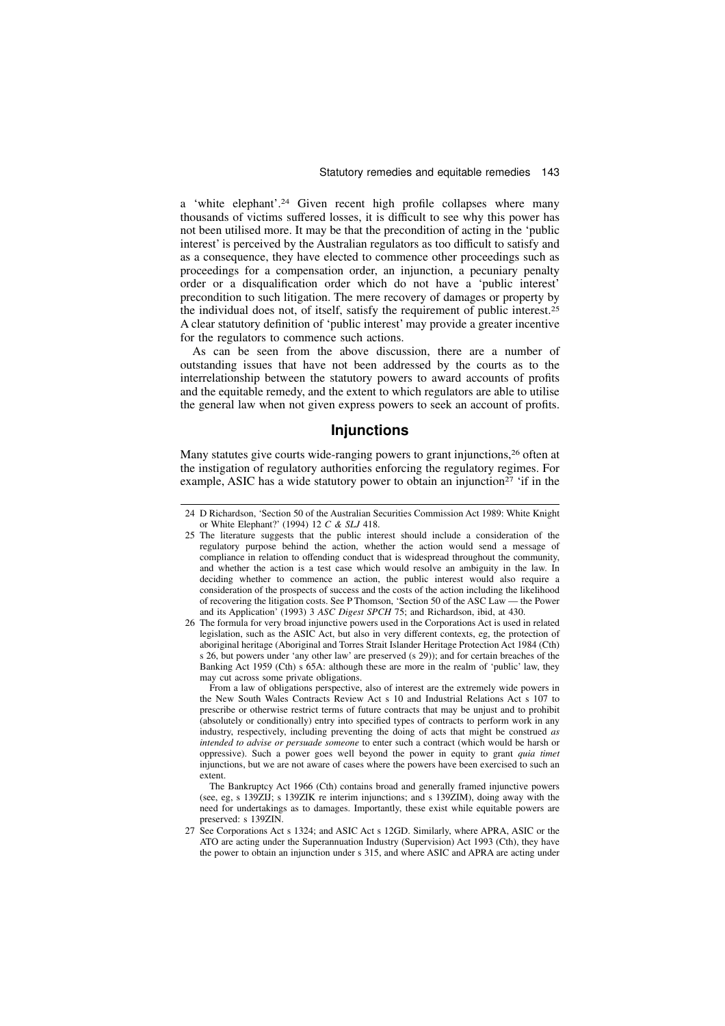a 'white elephant'.<sup>24</sup> Given recent high profile collapses where many thousands of victims suffered losses, it is difficult to see why this power has not been utilised more. It may be that the precondition of acting in the 'public interest' is perceived by the Australian regulators as too difficult to satisfy and as a consequence, they have elected to commence other proceedings such as proceedings for a compensation order, an injunction, a pecuniary penalty order or a disqualification order which do not have a 'public interest' precondition to such litigation. The mere recovery of damages or property by the individual does not, of itself, satisfy the requirement of public interest.<sup>25</sup> A clear statutory definition of 'public interest' may provide a greater incentive for the regulators to commence such actions.

As can be seen from the above discussion, there are a number of outstanding issues that have not been addressed by the courts as to the interrelationship between the statutory powers to award accounts of profits and the equitable remedy, and the extent to which regulators are able to utilise the general law when not given express powers to seek an account of profits.

### **Injunctions**

Many statutes give courts wide-ranging powers to grant injunctions,<sup>26</sup> often at the instigation of regulatory authorities enforcing the regulatory regimes. For example, ASIC has a wide statutory power to obtain an injunction<sup>27</sup>  $\cdot$  if in the

From a law of obligations perspective, also of interest are the extremely wide powers in the New South Wales Contracts Review Act s 10 and Industrial Relations Act s 107 to prescribe or otherwise restrict terms of future contracts that may be unjust and to prohibit (absolutely or conditionally) entry into specified types of contracts to perform work in any industry, respectively, including preventing the doing of acts that might be construed as intended to advise or persuade someone to enter such a contract (which would be harsh or oppressive). Such a power goes well beyond the power in equity to grant quia timet injunctions, but we are not aware of cases where the powers have been exercised to such an extent.

The Bankruptcy Act 1966 (Cth) contains broad and generally framed injunctive powers (see, eg, s 139ZIJ; s 139ZIK re interim injunctions; and s 139ZIM), doing away with the need for undertakings as to damages. Importantly, these exist while equitable powers are preserved: s 139ZIN.

<sup>24</sup> D Richardson, 'Section 50 of the Australian Securities Commission Act 1989: White Knight or White Elephant?' (1994) 12 C & SLJ 418.

<sup>25</sup> The literature suggests that the public interest should include a consideration of the regulatory purpose behind the action, whether the action would send a message of compliance in relation to offending conduct that is widespread throughout the community, and whether the action is a test case which would resolve an ambiguity in the law. In deciding whether to commence an action, the public interest would also require a consideration of the prospects of success and the costs of the action including the likelihood of recovering the litigation costs. See P Thomson, 'Section 50 of the ASC Law — the Power and its Application' (1993) 3 ASC Digest SPCH 75; and Richardson, ibid, at 430.

<sup>26</sup> The formula for very broad injunctive powers used in the Corporations Act is used in related legislation, such as the ASIC Act, but also in very different contexts, eg, the protection of aboriginal heritage (Aboriginal and Torres Strait Islander Heritage Protection Act 1984 (Cth) s 26, but powers under 'any other law' are preserved (s 29)); and for certain breaches of the Banking Act 1959 (Cth) s 65A: although these are more in the realm of 'public' law, they may cut across some private obligations.

<sup>27</sup> See Corporations Act s 1324; and ASIC Act s 12GD. Similarly, where APRA, ASIC or the ATO are acting under the Superannuation Industry (Supervision) Act 1993 (Cth), they have the power to obtain an injunction under s 315, and where ASIC and APRA are acting under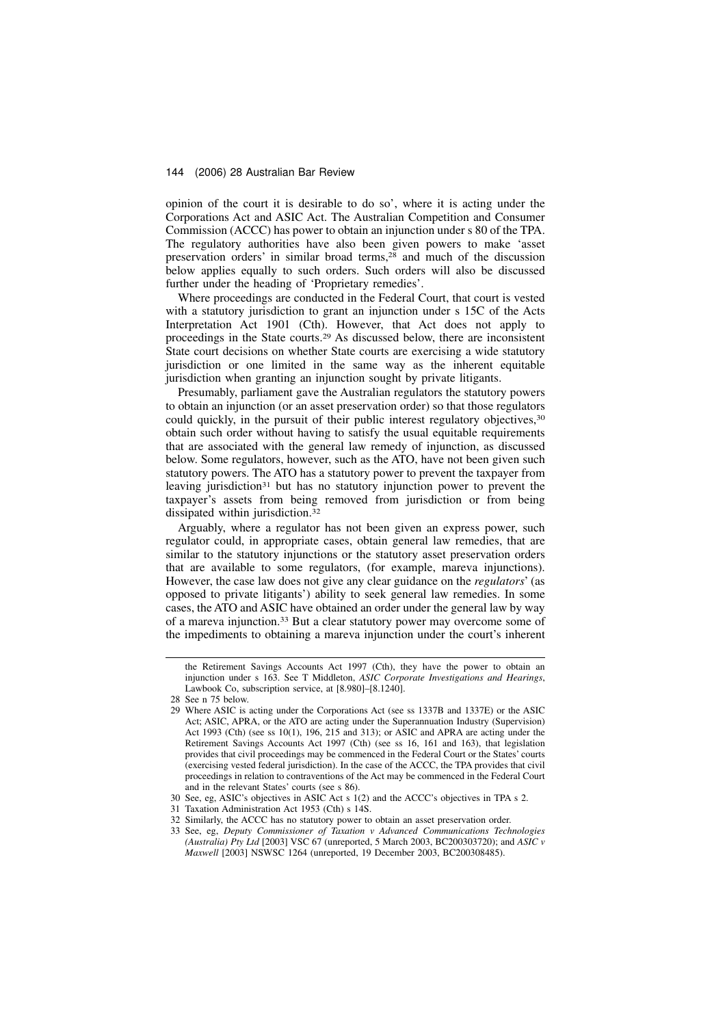opinion of the court it is desirable to do so', where it is acting under the Corporations Act and ASIC Act. The Australian Competition and Consumer Commission (ACCC) has power to obtain an injunction under s 80 of the TPA. The regulatory authorities have also been given powers to make 'asset preservation orders' in similar broad terms,<sup>28</sup> and much of the discussion below applies equally to such orders. Such orders will also be discussed further under the heading of 'Proprietary remedies'.

Where proceedings are conducted in the Federal Court, that court is vested with a statutory jurisdiction to grant an injunction under s 15C of the Acts Interpretation Act 1901 (Cth). However, that Act does not apply to proceedings in the State courts.<sup>29</sup> As discussed below, there are inconsistent State court decisions on whether State courts are exercising a wide statutory jurisdiction or one limited in the same way as the inherent equitable jurisdiction when granting an injunction sought by private litigants.

Presumably, parliament gave the Australian regulators the statutory powers to obtain an injunction (or an asset preservation order) so that those regulators could quickly, in the pursuit of their public interest regulatory objectives,<sup>30</sup> obtain such order without having to satisfy the usual equitable requirements that are associated with the general law remedy of injunction, as discussed below. Some regulators, however, such as the ATO, have not been given such statutory powers. The ATO has a statutory power to prevent the taxpayer from leaving jurisdiction<sup>31</sup> but has no statutory injunction power to prevent the taxpayer's assets from being removed from jurisdiction or from being dissipated within jurisdiction.<sup>32</sup>

Arguably, where a regulator has not been given an express power, such regulator could, in appropriate cases, obtain general law remedies, that are similar to the statutory injunctions or the statutory asset preservation orders that are available to some regulators, (for example, mareva injunctions). However, the case law does not give any clear guidance on the regulators' (as opposed to private litigants') ability to seek general law remedies. In some cases, the ATO and ASIC have obtained an order under the general law by way of a mareva injunction.<sup>33</sup> But a clear statutory power may overcome some of the impediments to obtaining a mareva injunction under the court's inherent

the Retirement Savings Accounts Act 1997 (Cth), they have the power to obtain an injunction under s 163. See T Middleton, ASIC Corporate Investigations and Hearings, Lawbook Co, subscription service, at [8.980]–[8.1240].

<sup>28</sup> See n 75 below.

<sup>29</sup> Where ASIC is acting under the Corporations Act (see ss 1337B and 1337E) or the ASIC Act; ASIC, APRA, or the ATO are acting under the Superannuation Industry (Supervision) Act 1993 (Cth) (see ss 10(1), 196, 215 and 313); or ASIC and APRA are acting under the Retirement Savings Accounts Act 1997 (Cth) (see ss 16, 161 and 163), that legislation provides that civil proceedings may be commenced in the Federal Court or the States' courts (exercising vested federal jurisdiction). In the case of the ACCC, the TPA provides that civil proceedings in relation to contraventions of the Act may be commenced in the Federal Court and in the relevant States' courts (see s 86).

<sup>30</sup> See, eg, ASIC's objectives in ASIC Act s 1(2) and the ACCC's objectives in TPA s 2.

<sup>31</sup> Taxation Administration Act 1953 (Cth) s 14S.

<sup>32</sup> Similarly, the ACCC has no statutory power to obtain an asset preservation order.

<sup>33</sup> See, eg, Deputy Commissioner of Taxation v Advanced Communications Technologies (Australia)  $\hat{P}$ ty Ltd [2003] VSC 67 (unreported, 5 March 2003, BC200303720); and ASIC v Maxwell [2003] NSWSC 1264 (unreported, 19 December 2003, BC200308485).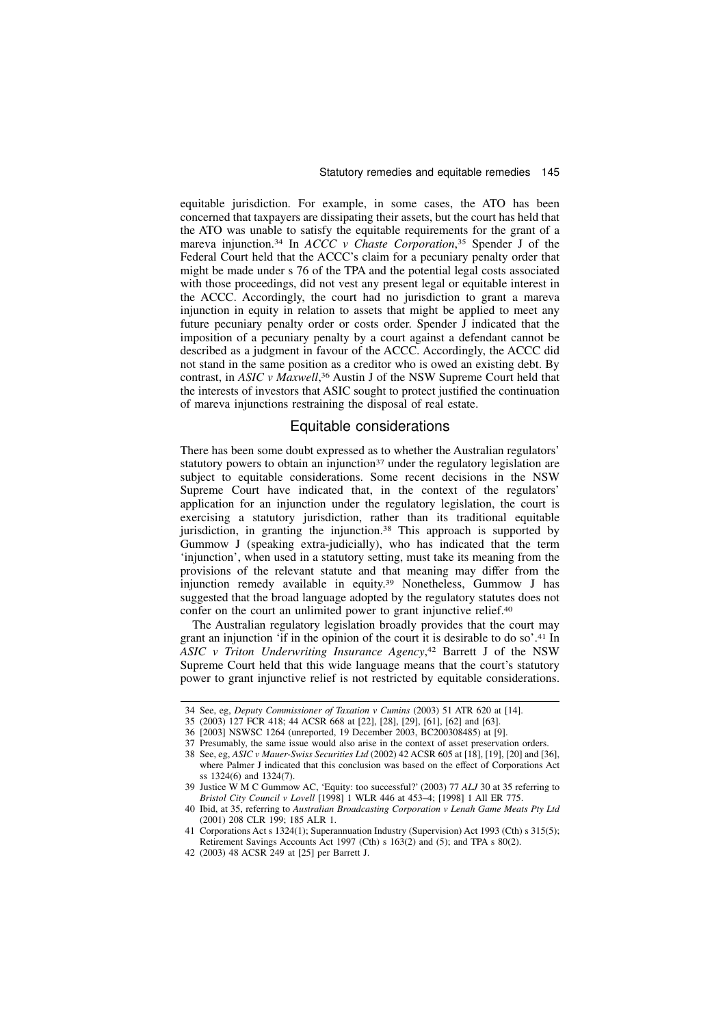equitable jurisdiction. For example, in some cases, the ATO has been concerned that taxpayers are dissipating their assets, but the court has held that the ATO was unable to satisfy the equitable requirements for the grant of a mareva injunction.<sup>34</sup> In *ACCC* v Chaste Corporation,<sup>35</sup> Spender J of the Federal Court held that the ACCC's claim for a pecuniary penalty order that might be made under s 76 of the TPA and the potential legal costs associated with those proceedings, did not vest any present legal or equitable interest in the ACCC. Accordingly, the court had no jurisdiction to grant a mareva injunction in equity in relation to assets that might be applied to meet any future pecuniary penalty order or costs order. Spender J indicated that the imposition of a pecuniary penalty by a court against a defendant cannot be described as a judgment in favour of the ACCC. Accordingly, the ACCC did not stand in the same position as a creditor who is owed an existing debt. By contrast, in ASIC v Maxwell,<sup>36</sup> Austin J of the NSW Supreme Court held that the interests of investors that ASIC sought to protect justified the continuation of mareva injunctions restraining the disposal of real estate.

# Equitable considerations

There has been some doubt expressed as to whether the Australian regulators' statutory powers to obtain an injunction<sup>37</sup> under the regulatory legislation are subject to equitable considerations. Some recent decisions in the NSW Supreme Court have indicated that, in the context of the regulators' application for an injunction under the regulatory legislation, the court is exercising a statutory jurisdiction, rather than its traditional equitable jurisdiction, in granting the injunction.<sup>38</sup> This approach is supported by Gummow J (speaking extra-judicially), who has indicated that the term 'injunction', when used in a statutory setting, must take its meaning from the provisions of the relevant statute and that meaning may differ from the injunction remedy available in equity.<sup>39</sup> Nonetheless, Gummow J has suggested that the broad language adopted by the regulatory statutes does not confer on the court an unlimited power to grant injunctive relief.<sup>40</sup>

The Australian regulatory legislation broadly provides that the court may grant an injunction 'if in the opinion of the court it is desirable to do so'.<sup>41</sup> In ASIC v Triton Underwriting Insurance Agency,<sup>42</sup> Barrett J of the NSW Supreme Court held that this wide language means that the court's statutory power to grant injunctive relief is not restricted by equitable considerations.

<sup>34</sup> See, eg, Deputy Commissioner of Taxation v Cumins (2003) 51 ATR 620 at [14].

<sup>35 (2003) 127</sup> FCR 418; 44 ACSR 668 at [22], [28], [29], [61], [62] and [63].

<sup>36 [2003]</sup> NSWSC 1264 (unreported, 19 December 2003, BC200308485) at [9].

<sup>37</sup> Presumably, the same issue would also arise in the context of asset preservation orders.

<sup>38</sup> See, eg, ASIC v Mauer-Swiss Securities Ltd (2002) 42 ACSR 605 at [18], [19], [20] and [36], where Palmer J indicated that this conclusion was based on the effect of Corporations Act ss 1324(6) and 1324(7).

<sup>39</sup> Justice W M C Gummow AC, 'Equity: too successful?' (2003) 77 ALJ 30 at 35 referring to Bristol City Council v Lovell [1998] 1 WLR 446 at 453–4; [1998] 1 All ER 775.

<sup>40</sup> Ibid, at 35, referring to Australian Broadcasting Corporation v Lenah Game Meats Pty Ltd (2001) 208 CLR 199; 185 ALR 1.

<sup>41</sup> Corporations Act s 1324(1); Superannuation Industry (Supervision) Act 1993 (Cth) s 315(5); Retirement Savings Accounts Act 1997 (Cth) s 163(2) and (5); and TPA s 80(2).

<sup>42 (2003) 48</sup> ACSR 249 at [25] per Barrett J.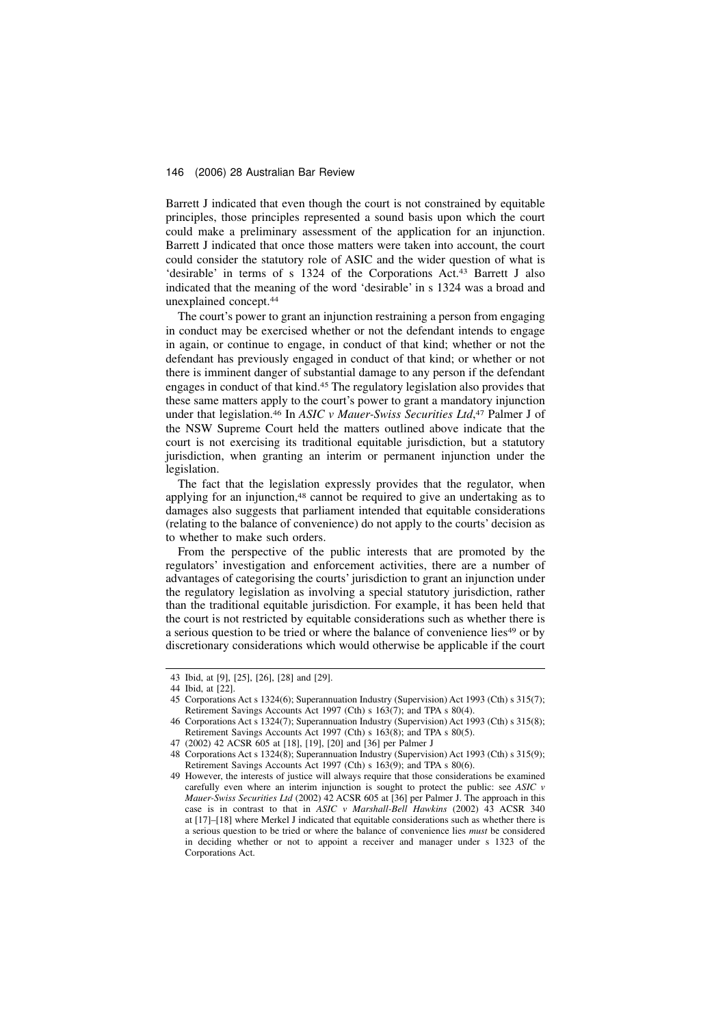Barrett J indicated that even though the court is not constrained by equitable principles, those principles represented a sound basis upon which the court could make a preliminary assessment of the application for an injunction. Barrett J indicated that once those matters were taken into account, the court could consider the statutory role of ASIC and the wider question of what is 'desirable' in terms of s 1324 of the Corporations Act.<sup>43</sup> Barrett J also indicated that the meaning of the word 'desirable' in s 1324 was a broad and unexplained concept.<sup>44</sup>

The court's power to grant an injunction restraining a person from engaging in conduct may be exercised whether or not the defendant intends to engage in again, or continue to engage, in conduct of that kind; whether or not the defendant has previously engaged in conduct of that kind; or whether or not there is imminent danger of substantial damage to any person if the defendant engages in conduct of that kind.<sup>45</sup> The regulatory legislation also provides that these same matters apply to the court's power to grant a mandatory injunction under that legislation.<sup>46</sup> In ASIC v Mauer-Swiss Securities Ltd,<sup>47</sup> Palmer J of the NSW Supreme Court held the matters outlined above indicate that the court is not exercising its traditional equitable jurisdiction, but a statutory jurisdiction, when granting an interim or permanent injunction under the legislation.

The fact that the legislation expressly provides that the regulator, when applying for an injunction,<sup>48</sup> cannot be required to give an undertaking as to damages also suggests that parliament intended that equitable considerations (relating to the balance of convenience) do not apply to the courts' decision as to whether to make such orders.

From the perspective of the public interests that are promoted by the regulators' investigation and enforcement activities, there are a number of advantages of categorising the courts' jurisdiction to grant an injunction under the regulatory legislation as involving a special statutory jurisdiction, rather than the traditional equitable jurisdiction. For example, it has been held that the court is not restricted by equitable considerations such as whether there is a serious question to be tried or where the balance of convenience lies<sup>49</sup> or by discretionary considerations which would otherwise be applicable if the court

<sup>43</sup> Ibid, at [9], [25], [26], [28] and [29].

<sup>44</sup> Ibid, at [22].

<sup>45</sup> Corporations Act s 1324(6); Superannuation Industry (Supervision) Act 1993 (Cth) s 315(7); Retirement Savings Accounts Act 1997 (Cth) s 163(7); and TPA s 80(4).

Corporations Act s 1324(7); Superannuation Industry (Supervision) Act 1993 (Cth) s 315(8); Retirement Savings Accounts Act 1997 (Cth) s 163(8); and TPA s 80(5).

<sup>47 (2002) 42</sup> ACSR 605 at [18], [19], [20] and [36] per Palmer J

<sup>48</sup> Corporations Act s 1324(8); Superannuation Industry (Supervision) Act 1993 (Cth) s 315(9); Retirement Savings Accounts Act 1997 (Cth) s 163(9); and TPA s 80(6).

<sup>49</sup> However, the interests of justice will always require that those considerations be examined carefully even where an interim injunction is sought to protect the public: see ASIC v Mauer-Swiss Securities Ltd (2002) 42 ACSR 605 at [36] per Palmer J. The approach in this case is in contrast to that in ASIC v Marshall-Bell Hawkins (2002) 43 ACSR 340 at [17]–[18] where Merkel J indicated that equitable considerations such as whether there is a serious question to be tried or where the balance of convenience lies must be considered in deciding whether or not to appoint a receiver and manager under s 1323 of the Corporations Act.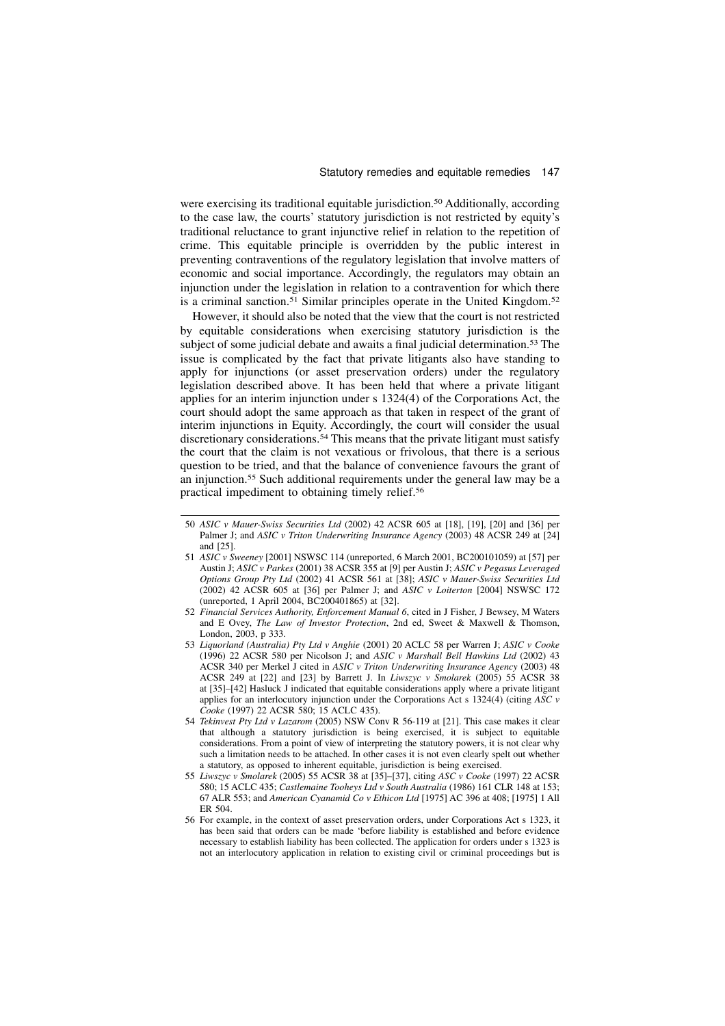were exercising its traditional equitable jurisdiction.<sup>50</sup> Additionally, according to the case law, the courts' statutory jurisdiction is not restricted by equity's traditional reluctance to grant injunctive relief in relation to the repetition of crime. This equitable principle is overridden by the public interest in preventing contraventions of the regulatory legislation that involve matters of economic and social importance. Accordingly, the regulators may obtain an injunction under the legislation in relation to a contravention for which there is a criminal sanction.<sup>51</sup> Similar principles operate in the United Kingdom.<sup>52</sup>

However, it should also be noted that the view that the court is not restricted by equitable considerations when exercising statutory jurisdiction is the subject of some judicial debate and awaits a final judicial determination.<sup>53</sup> The issue is complicated by the fact that private litigants also have standing to apply for injunctions (or asset preservation orders) under the regulatory legislation described above. It has been held that where a private litigant applies for an interim injunction under s 1324(4) of the Corporations Act, the court should adopt the same approach as that taken in respect of the grant of interim injunctions in Equity. Accordingly, the court will consider the usual discretionary considerations.<sup>54</sup> This means that the private litigant must satisfy the court that the claim is not vexatious or frivolous, that there is a serious question to be tried, and that the balance of convenience favours the grant of an injunction.<sup>55</sup> Such additional requirements under the general law may be a practical impediment to obtaining timely relief.<sup>56</sup>

- 50 ASIC v Mauer-Swiss Securities Ltd (2002) 42 ACSR 605 at [18], [19], [20] and [36] per Palmer J; and ASIC v Triton Underwriting Insurance Agency (2003) 48 ACSR 249 at [24] and [25].
- 51 ASIC v Sweeney [2001] NSWSC 114 (unreported, 6 March 2001, BC200101059) at [57] per Austin J; ASIC v Parkes (2001) 38 ACSR 355 at [9] per Austin J; ASIC v Pegasus Leveraged Options Group Pty Ltd (2002) 41 ACSR 561 at [38]; ASIC v Mauer-Swiss Securities Ltd (2002) 42 ACSR 605 at [36] per Palmer J; and ASIC v Loiterton [2004] NSWSC 172 (unreported, 1 April 2004, BC200401865) at [32].
- 52 Financial Services Authority, Enforcement Manual 6, cited in J Fisher, J Bewsey, M Waters and E Ovey, The Law of Investor Protection, 2nd ed, Sweet & Maxwell & Thomson, London, 2003, p 333.
- 53 Liquorland (Australia) Pty Ltd v Anghie (2001) 20 ACLC 58 per Warren J; ASIC v Cooke (1996) 22 ACSR 580 per Nicolson J; and ASIC v Marshall Bell Hawkins Ltd (2002) 43 ACSR 340 per Merkel J cited in ASIC v Triton Underwriting Insurance Agency (2003) 48 ACSR 249 at  $[22]$  and  $[23]$  by Barrett J. In Liwszyc v Smolarek (2005) 55 ACSR 38 at [35]–[42] Hasluck J indicated that equitable considerations apply where a private litigant applies for an interlocutory injunction under the Corporations Act s 1324(4) (citing ASC v Cooke (1997) 22 ACSR 580; 15 ACLC 435).
- 54 Tekinvest Pty Ltd v Lazarom (2005) NSW Conv R 56-119 at [21]. This case makes it clear that although a statutory jurisdiction is being exercised, it is subject to equitable considerations. From a point of view of interpreting the statutory powers, it is not clear why such a limitation needs to be attached. In other cases it is not even clearly spelt out whether a statutory, as opposed to inherent equitable, jurisdiction is being exercised.
- 55 Liwszyc v Smolarek (2005) 55 ACSR 38 at [35]–[37], citing ASC v Cooke (1997) 22 ACSR 580; 15 ACLC 435; Castlemaine Tooheys Ltd v South Australia (1986) 161 CLR 148 at 153; 67 ALR 553; and American Cyanamid Co v Ethicon Ltd [1975] AC 396 at 408; [1975] 1 All ER 504.
- 56 For example, in the context of asset preservation orders, under Corporations Act s 1323, it has been said that orders can be made 'before liability is established and before evidence necessary to establish liability has been collected. The application for orders under s 1323 is not an interlocutory application in relation to existing civil or criminal proceedings but is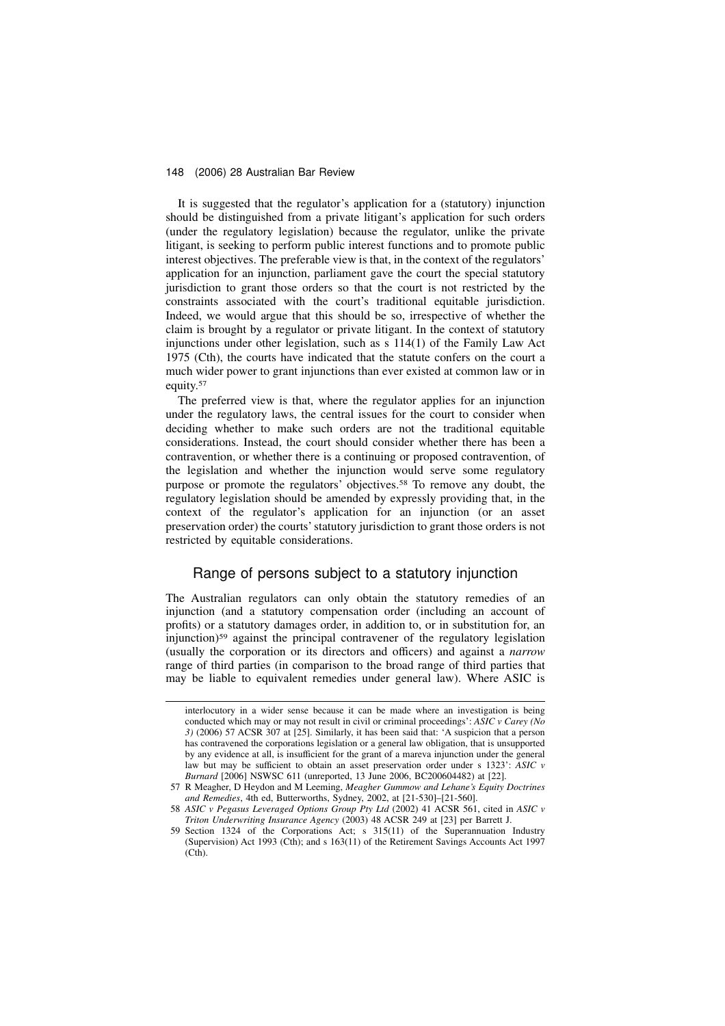It is suggested that the regulator's application for a (statutory) injunction should be distinguished from a private litigant's application for such orders (under the regulatory legislation) because the regulator, unlike the private litigant, is seeking to perform public interest functions and to promote public interest objectives. The preferable view is that, in the context of the regulators' application for an injunction, parliament gave the court the special statutory jurisdiction to grant those orders so that the court is not restricted by the constraints associated with the court's traditional equitable jurisdiction. Indeed, we would argue that this should be so, irrespective of whether the claim is brought by a regulator or private litigant. In the context of statutory injunctions under other legislation, such as s 114(1) of the Family Law Act 1975 (Cth), the courts have indicated that the statute confers on the court a much wider power to grant injunctions than ever existed at common law or in equity.<sup>57</sup>

The preferred view is that, where the regulator applies for an injunction under the regulatory laws, the central issues for the court to consider when deciding whether to make such orders are not the traditional equitable considerations. Instead, the court should consider whether there has been a contravention, or whether there is a continuing or proposed contravention, of the legislation and whether the injunction would serve some regulatory purpose or promote the regulators' objectives.<sup>58</sup> To remove any doubt, the regulatory legislation should be amended by expressly providing that, in the context of the regulator's application for an injunction (or an asset preservation order) the courts' statutory jurisdiction to grant those orders is not restricted by equitable considerations.

# Range of persons subject to a statutory injunction

The Australian regulators can only obtain the statutory remedies of an injunction (and a statutory compensation order (including an account of profits) or a statutory damages order, in addition to, or in substitution for, an injunction)<sup>59</sup> against the principal contravener of the regulatory legislation (usually the corporation or its directors and officers) and against a narrow range of third parties (in comparison to the broad range of third parties that may be liable to equivalent remedies under general law). Where ASIC is

interlocutory in a wider sense because it can be made where an investigation is being conducted which may or may not result in civil or criminal proceedings':  $ASIC$  v Carey (No 3) (2006) 57 ACSR 307 at [25]. Similarly, it has been said that: 'A suspicion that a person has contravened the corporations legislation or a general law obligation, that is unsupported by any evidence at all, is insufficient for the grant of a mareva injunction under the general law but may be sufficient to obtain an asset preservation order under s 1323': ASIC v Burnard [2006] NSWSC 611 (unreported, 13 June 2006, BC200604482) at [22].

<sup>57</sup> R Meagher, D Heydon and M Leeming, Meagher Gummow and Lehane's Equity Doctrines and Remedies, 4th ed, Butterworths, Sydney, 2002, at [21-530]–[21-560].

<sup>58</sup> ASIC v Pegasus Leveraged Options Group Pty Ltd (2002) 41 ACSR 561, cited in ASIC v Triton Underwriting Insurance Agency (2003) 48 ACSR 249 at [23] per Barrett J.

Section 1324 of the Corporations Act; s  $315(11)$  of the Superannuation Industry (Supervision) Act 1993 (Cth); and s 163(11) of the Retirement Savings Accounts Act 1997  $(Ch)$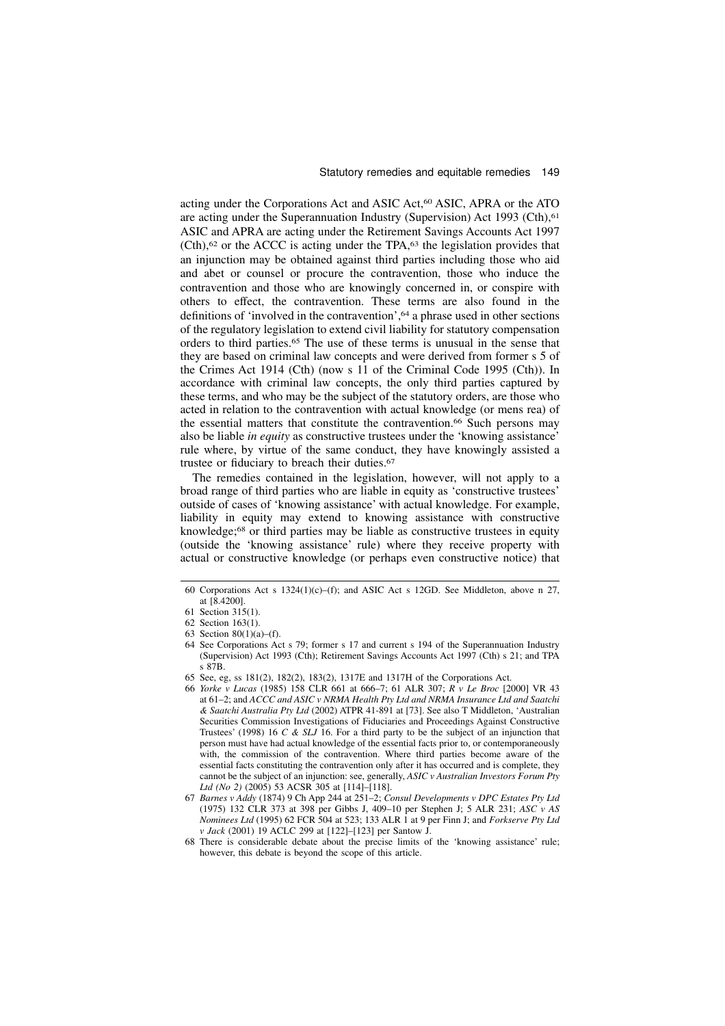acting under the Corporations Act and ASIC Act,<sup>60</sup> ASIC, APRA or the ATO are acting under the Superannuation Industry (Supervision) Act 1993 (Cth),<sup>61</sup> ASIC and APRA are acting under the Retirement Savings Accounts Act 1997  $(Ch)$ ,<sup>62</sup> or the ACCC is acting under the TPA,<sup>63</sup> the legislation provides that an injunction may be obtained against third parties including those who aid and abet or counsel or procure the contravention, those who induce the contravention and those who are knowingly concerned in, or conspire with others to effect, the contravention. These terms are also found in the definitions of 'involved in the contravention',<sup>64</sup> a phrase used in other sections of the regulatory legislation to extend civil liability for statutory compensation orders to third parties.<sup>65</sup> The use of these terms is unusual in the sense that they are based on criminal law concepts and were derived from former s 5 of the Crimes Act 1914 (Cth) (now s 11 of the Criminal Code 1995 (Cth)). In accordance with criminal law concepts, the only third parties captured by these terms, and who may be the subject of the statutory orders, are those who acted in relation to the contravention with actual knowledge (or mens rea) of the essential matters that constitute the contravention.<sup>66</sup> Such persons may also be liable in equity as constructive trustees under the 'knowing assistance' rule where, by virtue of the same conduct, they have knowingly assisted a trustee or fiduciary to breach their duties.<sup>67</sup>

The remedies contained in the legislation, however, will not apply to a broad range of third parties who are liable in equity as 'constructive trustees' outside of cases of 'knowing assistance' with actual knowledge. For example, liability in equity may extend to knowing assistance with constructive knowledge;<sup>68</sup> or third parties may be liable as constructive trustees in equity (outside the 'knowing assistance' rule) where they receive property with actual or constructive knowledge (or perhaps even constructive notice) that

<sup>60</sup> Corporations Act s 1324(1)(c)–(f); and ASIC Act s 12GD. See Middleton, above n 27, at [8.4200].

<sup>61</sup> Section 315(1).

<sup>62</sup> Section 163(1).

<sup>63</sup> Section  $80(1)(a)$ –(f).

<sup>64</sup> See Corporations Act s 79; former s 17 and current s 194 of the Superannuation Industry (Supervision) Act 1993 (Cth); Retirement Savings Accounts Act 1997 (Cth) s 21; and TPA s 87B.

<sup>65</sup> See, eg, ss 181(2), 182(2), 183(2), 1317E and 1317H of the Corporations Act.

<sup>66</sup> Yorke v Lucas (1985) 158 CLR 661 at 666–7; 61 ALR 307; R v Le Broc [2000] VR 43 at 61–2; and ACCC and ASIC v NRMA Health Pty Ltd and NRMA Insurance Ltd and Saatchi & Saatchi Australia Pty Ltd (2002) ATPR 41-891 at [73]. See also T Middleton, 'Australian Securities Commission Investigations of Fiduciaries and Proceedings Against Constructive Trustees' (1998) 16 C & SLJ 16. For a third party to be the subject of an injunction that person must have had actual knowledge of the essential facts prior to, or contemporaneously with, the commission of the contravention. Where third parties become aware of the essential facts constituting the contravention only after it has occurred and is complete, they cannot be the subject of an injunction: see, generally, ASIC v Australian Investors Forum Pty Ltd (No 2) (2005) 53 ACSR 305 at [114]–[118].

<sup>67</sup> Barnes v Addy (1874) 9 Ch App 244 at 251–2; Consul Developments v DPC Estates Pty Ltd (1975) 132 CLR 373 at 398 per Gibbs J, 409–10 per Stephen J; 5 ALR 231; ASC v AS Nominees Ltd (1995) 62 FCR 504 at 523; 133 ALR 1 at 9 per Finn J; and Forkserve Pty Ltd v Jack (2001) 19 ACLC 299 at [122]–[123] per Santow J.

<sup>68</sup> There is considerable debate about the precise limits of the 'knowing assistance' rule; however, this debate is beyond the scope of this article.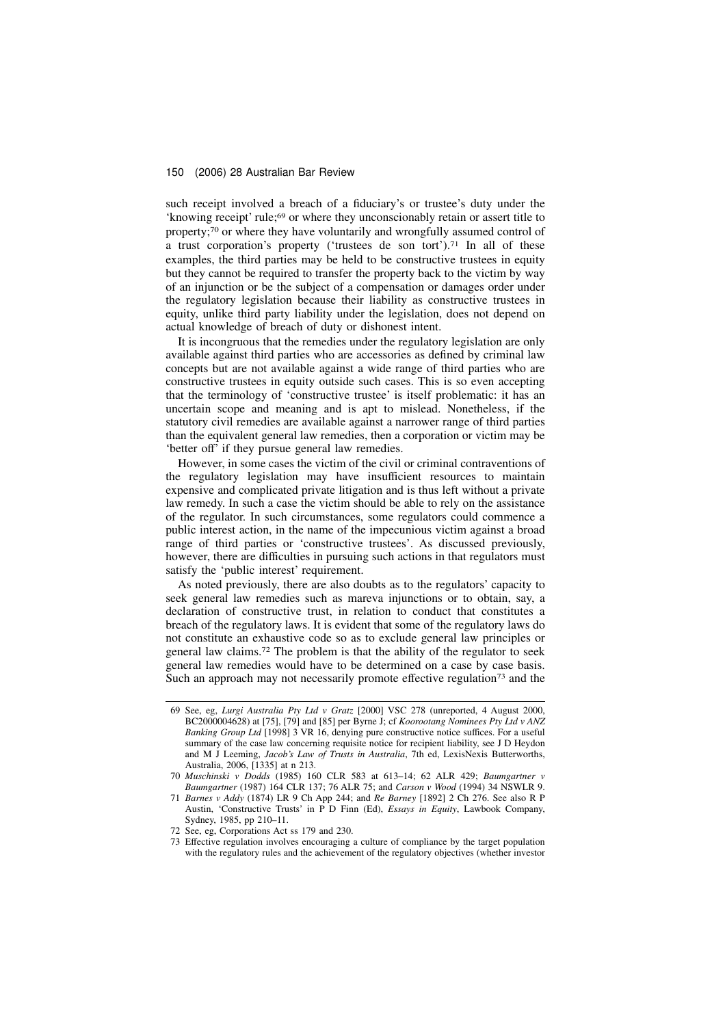such receipt involved a breach of a fiduciary's or trustee's duty under the 'knowing receipt' rule;<sup>69</sup> or where they unconscionably retain or assert title to property;<sup>70</sup> or where they have voluntarily and wrongfully assumed control of a trust corporation's property ('trustees de son tort').<sup>71</sup> In all of these examples, the third parties may be held to be constructive trustees in equity but they cannot be required to transfer the property back to the victim by way of an injunction or be the subject of a compensation or damages order under the regulatory legislation because their liability as constructive trustees in equity, unlike third party liability under the legislation, does not depend on actual knowledge of breach of duty or dishonest intent.

It is incongruous that the remedies under the regulatory legislation are only available against third parties who are accessories as defined by criminal law concepts but are not available against a wide range of third parties who are constructive trustees in equity outside such cases. This is so even accepting that the terminology of 'constructive trustee' is itself problematic: it has an uncertain scope and meaning and is apt to mislead. Nonetheless, if the statutory civil remedies are available against a narrower range of third parties than the equivalent general law remedies, then a corporation or victim may be 'better off' if they pursue general law remedies.

However, in some cases the victim of the civil or criminal contraventions of the regulatory legislation may have insufficient resources to maintain expensive and complicated private litigation and is thus left without a private law remedy. In such a case the victim should be able to rely on the assistance of the regulator. In such circumstances, some regulators could commence a public interest action, in the name of the impecunious victim against a broad range of third parties or 'constructive trustees'. As discussed previously, however, there are difficulties in pursuing such actions in that regulators must satisfy the 'public interest' requirement.

As noted previously, there are also doubts as to the regulators' capacity to seek general law remedies such as mareva injunctions or to obtain, say, a declaration of constructive trust, in relation to conduct that constitutes a breach of the regulatory laws. It is evident that some of the regulatory laws do not constitute an exhaustive code so as to exclude general law principles or general law claims.<sup>72</sup> The problem is that the ability of the regulator to seek general law remedies would have to be determined on a case by case basis. Such an approach may not necessarily promote effective regulation<sup>73</sup> and the

<sup>69</sup> See, eg, Lurgi Australia Pty Ltd v Gratz [2000] VSC 278 (unreported, 4 August 2000, BC2000004628) at [75], [79] and [85] per Byrne J; cf Koorootang Nominees Pty Ltd v ANZ Banking Group Ltd [1998] 3 VR 16, denying pure constructive notice suffices. For a useful summary of the case law concerning requisite notice for recipient liability, see J D Heydon and M J Leeming, Jacob's Law of Trusts in Australia, 7th ed, LexisNexis Butterworths, Australia, 2006, [1335] at n 213.

<sup>70</sup> Muschinski v Dodds (1985) 160 CLR 583 at 613–14; 62 ALR 429; Baumgartner v Baumgartner (1987) 164 CLR 137; 76 ALR 75; and Carson v Wood (1994) 34 NSWLR 9.

<sup>71</sup> Barnes v Addy (1874) LR 9 Ch App 244; and Re Barney [1892] 2 Ch 276. See also R P Austin, 'Constructive Trusts' in P D Finn (Ed), Essays in Equity, Lawbook Company, Sydney, 1985, pp 210–11.

<sup>72</sup> See, eg, Corporations Act ss 179 and 230.

<sup>73</sup> Effective regulation involves encouraging a culture of compliance by the target population with the regulatory rules and the achievement of the regulatory objectives (whether investor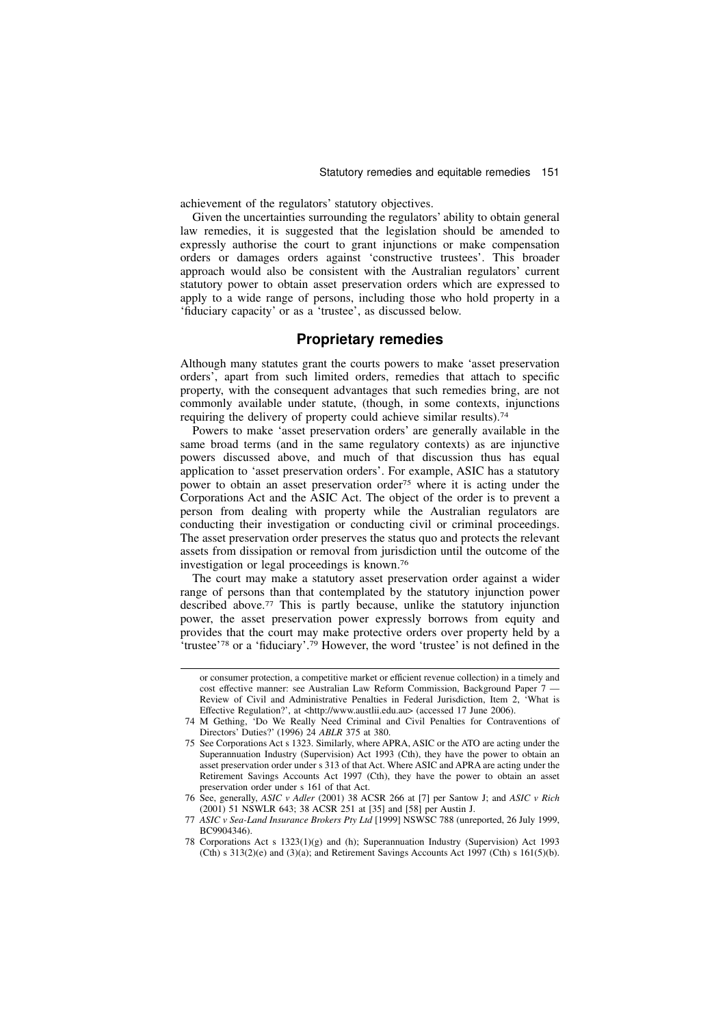achievement of the regulators' statutory objectives.

Given the uncertainties surrounding the regulators' ability to obtain general law remedies, it is suggested that the legislation should be amended to expressly authorise the court to grant injunctions or make compensation orders or damages orders against 'constructive trustees'. This broader approach would also be consistent with the Australian regulators' current statutory power to obtain asset preservation orders which are expressed to apply to a wide range of persons, including those who hold property in a 'fiduciary capacity' or as a 'trustee', as discussed below.

# Proprietary remedies

Although many statutes grant the courts powers to make 'asset preservation orders', apart from such limited orders, remedies that attach to specific property, with the consequent advantages that such remedies bring, are not commonly available under statute, (though, in some contexts, injunctions requiring the delivery of property could achieve similar results).<sup>74</sup>

Powers to make 'asset preservation orders' are generally available in the same broad terms (and in the same regulatory contexts) as are injunctive powers discussed above, and much of that discussion thus has equal application to 'asset preservation orders'. For example, ASIC has a statutory power to obtain an asset preservation order<sup>75</sup> where it is acting under the Corporations Act and the ASIC Act. The object of the order is to prevent a person from dealing with property while the Australian regulators are conducting their investigation or conducting civil or criminal proceedings. The asset preservation order preserves the status quo and protects the relevant assets from dissipation or removal from jurisdiction until the outcome of the investigation or legal proceedings is known.<sup>76</sup>

The court may make a statutory asset preservation order against a wider range of persons than that contemplated by the statutory injunction power described above.<sup>77</sup> This is partly because, unlike the statutory injunction power, the asset preservation power expressly borrows from equity and provides that the court may make protective orders over property held by a 'trustee'<sup>78</sup> or a 'fiduciary'.<sup>79</sup> However, the word 'trustee' is not defined in the

or consumer protection, a competitive market or efficient revenue collection) in a timely and cost effective manner: see Australian Law Reform Commission, Background Paper 7 — Review of Civil and Administrative Penalties in Federal Jurisdiction, Item 2, 'What is Effective Regulation?', at <http://www.austlii.edu.au> (accessed 17 June 2006).

<sup>74</sup> M Gething, 'Do We Really Need Criminal and Civil Penalties for Contraventions of Directors' Duties?' (1996) 24 ABLR 375 at 380.

<sup>75</sup> See Corporations Act s 1323. Similarly, where APRA, ASIC or the ATO are acting under the Superannuation Industry (Supervision) Act 1993 (Cth), they have the power to obtain an asset preservation order under s 313 of that Act. Where ASIC and APRA are acting under the Retirement Savings Accounts Act 1997 (Cth), they have the power to obtain an asset preservation order under s 161 of that Act.

<sup>76</sup> See, generally, ASIC v Adler (2001) 38 ACSR 266 at [7] per Santow J; and ASIC v Rich (2001) 51 NSWLR 643; 38 ACSR 251 at [35] and [58] per Austin J.

<sup>77</sup> ASIC v Sea-Land Insurance Brokers Pty Ltd [1999] NSWSC 788 (unreported, 26 July 1999, BC9904346).

<sup>78</sup> Corporations Act s 1323(1)(g) and (h); Superannuation Industry (Supervision) Act 1993 (Cth) s  $313(2)(e)$  and  $(3)(a)$ ; and Retirement Savings Accounts Act 1997 (Cth) s  $161(5)(b)$ .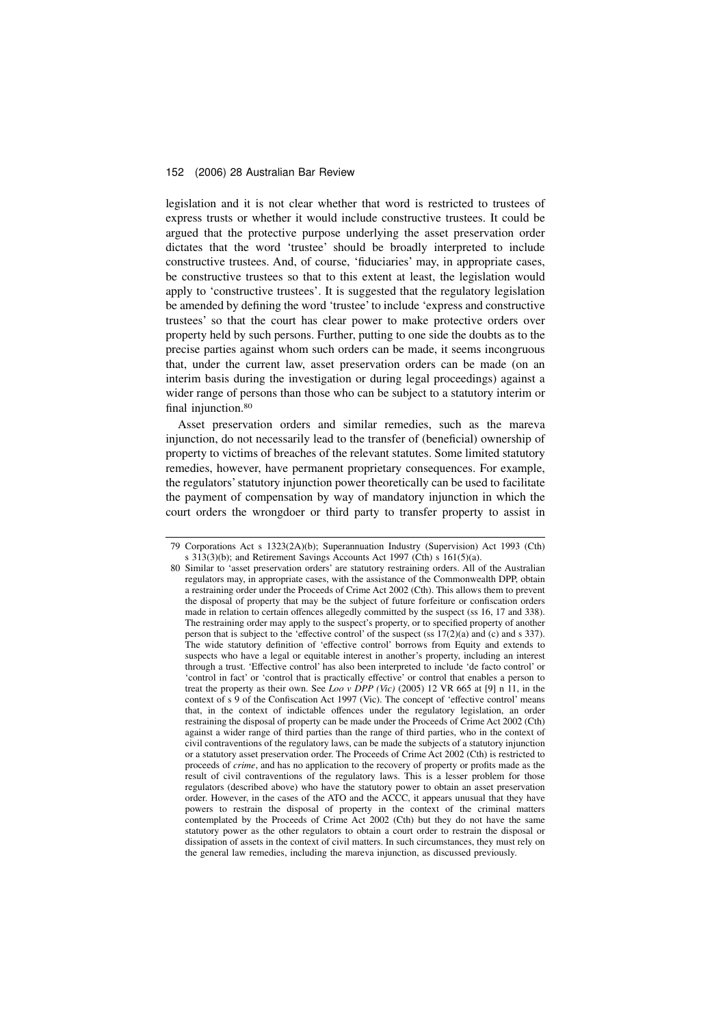legislation and it is not clear whether that word is restricted to trustees of express trusts or whether it would include constructive trustees. It could be argued that the protective purpose underlying the asset preservation order dictates that the word 'trustee' should be broadly interpreted to include constructive trustees. And, of course, 'fiduciaries' may, in appropriate cases, be constructive trustees so that to this extent at least, the legislation would apply to 'constructive trustees'. It is suggested that the regulatory legislation be amended by defining the word 'trustee' to include 'express and constructive trustees' so that the court has clear power to make protective orders over property held by such persons. Further, putting to one side the doubts as to the precise parties against whom such orders can be made, it seems incongruous that, under the current law, asset preservation orders can be made (on an interim basis during the investigation or during legal proceedings) against a wider range of persons than those who can be subject to a statutory interim or final injunction.<sup>80</sup>

Asset preservation orders and similar remedies, such as the mareva injunction, do not necessarily lead to the transfer of (beneficial) ownership of property to victims of breaches of the relevant statutes. Some limited statutory remedies, however, have permanent proprietary consequences. For example, the regulators' statutory injunction power theoretically can be used to facilitate the payment of compensation by way of mandatory injunction in which the court orders the wrongdoer or third party to transfer property to assist in

<sup>79</sup> Corporations Act s 1323(2A)(b); Superannuation Industry (Supervision) Act 1993 (Cth) s  $313(3)(b)$ ; and Retirement Savings Accounts Act 1997 (Cth) s  $161(5)(a)$ .

<sup>80</sup> Similar to 'asset preservation orders' are statutory restraining orders. All of the Australian regulators may, in appropriate cases, with the assistance of the Commonwealth DPP, obtain a restraining order under the Proceeds of Crime Act 2002 (Cth). This allows them to prevent the disposal of property that may be the subject of future forfeiture or confiscation orders made in relation to certain offences allegedly committed by the suspect (ss 16, 17 and 338). The restraining order may apply to the suspect's property, or to specified property of another person that is subject to the 'effective control' of the suspect (ss 17(2)(a) and (c) and s 337). The wide statutory definition of 'effective control' borrows from Equity and extends to suspects who have a legal or equitable interest in another's property, including an interest through a trust. 'Effective control' has also been interpreted to include 'de facto control' or 'control in fact' or 'control that is practically effective' or control that enables a person to treat the property as their own. See Loo v DPP (Vic) (2005) 12 VR 665 at [9] n 11, in the context of s 9 of the Confiscation Act 1997 (Vic). The concept of 'effective control' means that, in the context of indictable offences under the regulatory legislation, an order restraining the disposal of property can be made under the Proceeds of Crime Act 2002 (Cth) against a wider range of third parties than the range of third parties, who in the context of civil contraventions of the regulatory laws, can be made the subjects of a statutory injunction or a statutory asset preservation order. The Proceeds of Crime Act 2002 (Cth) is restricted to proceeds of crime, and has no application to the recovery of property or profits made as the result of civil contraventions of the regulatory laws. This is a lesser problem for those regulators (described above) who have the statutory power to obtain an asset preservation order. However, in the cases of the ATO and the ACCC, it appears unusual that they have powers to restrain the disposal of property in the context of the criminal matters contemplated by the Proceeds of Crime Act 2002 (Cth) but they do not have the same statutory power as the other regulators to obtain a court order to restrain the disposal or dissipation of assets in the context of civil matters. In such circumstances, they must rely on the general law remedies, including the mareva injunction, as discussed previously.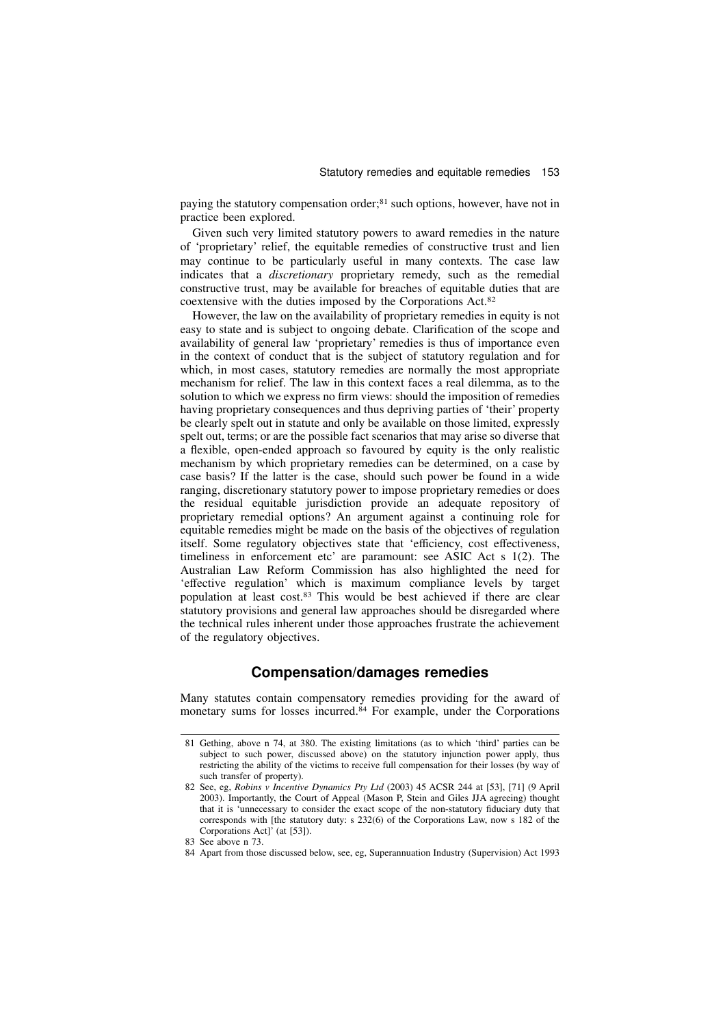paying the statutory compensation order;<sup>81</sup> such options, however, have not in practice been explored.

Given such very limited statutory powers to award remedies in the nature of 'proprietary' relief, the equitable remedies of constructive trust and lien may continue to be particularly useful in many contexts. The case law indicates that a discretionary proprietary remedy, such as the remedial constructive trust, may be available for breaches of equitable duties that are coextensive with the duties imposed by the Corporations Act.<sup>82</sup>

However, the law on the availability of proprietary remedies in equity is not easy to state and is subject to ongoing debate. Clarification of the scope and availability of general law 'proprietary' remedies is thus of importance even in the context of conduct that is the subject of statutory regulation and for which, in most cases, statutory remedies are normally the most appropriate mechanism for relief. The law in this context faces a real dilemma, as to the solution to which we express no firm views: should the imposition of remedies having proprietary consequences and thus depriving parties of 'their' property be clearly spelt out in statute and only be available on those limited, expressly spelt out, terms; or are the possible fact scenarios that may arise so diverse that a flexible, open-ended approach so favoured by equity is the only realistic mechanism by which proprietary remedies can be determined, on a case by case basis? If the latter is the case, should such power be found in a wide ranging, discretionary statutory power to impose proprietary remedies or does the residual equitable jurisdiction provide an adequate repository of proprietary remedial options? An argument against a continuing role for equitable remedies might be made on the basis of the objectives of regulation itself. Some regulatory objectives state that 'efficiency, cost effectiveness, timeliness in enforcement etc' are paramount: see ASIC Act s 1(2). The Australian Law Reform Commission has also highlighted the need for 'effective regulation' which is maximum compliance levels by target population at least cost.<sup>83</sup> This would be best achieved if there are clear statutory provisions and general law approaches should be disregarded where the technical rules inherent under those approaches frustrate the achievement of the regulatory objectives.

# Compensation/damages remedies

Many statutes contain compensatory remedies providing for the award of monetary sums for losses incurred.<sup>84</sup> For example, under the Corporations

<sup>81</sup> Gething, above n 74, at 380. The existing limitations (as to which 'third' parties can be subject to such power, discussed above) on the statutory injunction power apply, thus restricting the ability of the victims to receive full compensation for their losses (by way of such transfer of property).

<sup>82</sup> See, eg, Robins v Incentive Dynamics Pty Ltd (2003) 45 ACSR 244 at [53], [71] (9 April 2003). Importantly, the Court of Appeal (Mason P, Stein and Giles JJA agreeing) thought that it is 'unnecessary to consider the exact scope of the non-statutory fiduciary duty that corresponds with [the statutory duty: s 232(6) of the Corporations Law, now s 182 of the Corporations Act]' (at [53]).

<sup>83</sup> See above n 73.

<sup>84</sup> Apart from those discussed below, see, eg, Superannuation Industry (Supervision) Act 1993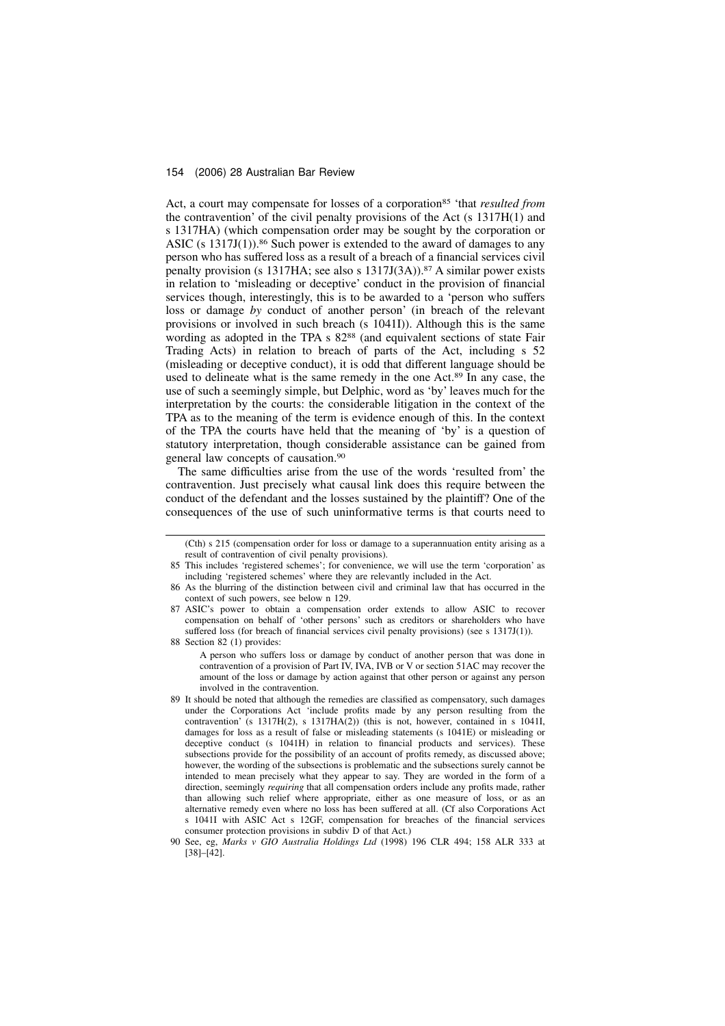Act, a court may compensate for losses of a corporation<sup>85</sup> 'that *resulted from* the contravention' of the civil penalty provisions of the Act (s 1317H(1) and s 1317HA) (which compensation order may be sought by the corporation or ASIC (s  $1317J(1)$ ).<sup>86</sup> Such power is extended to the award of damages to any person who has suffered loss as a result of a breach of a financial services civil penalty provision (s 1317HA; see also s 1317J(3A)).<sup>87</sup> A similar power exists in relation to 'misleading or deceptive' conduct in the provision of financial services though, interestingly, this is to be awarded to a 'person who suffers loss or damage by conduct of another person' (in breach of the relevant provisions or involved in such breach (s 1041I)). Although this is the same wording as adopted in the TPA s 82<sup>88</sup> (and equivalent sections of state Fair Trading Acts) in relation to breach of parts of the Act, including s 52 (misleading or deceptive conduct), it is odd that different language should be used to delineate what is the same remedy in the one Act.<sup>89</sup> In any case, the use of such a seemingly simple, but Delphic, word as 'by' leaves much for the interpretation by the courts: the considerable litigation in the context of the TPA as to the meaning of the term is evidence enough of this. In the context of the TPA the courts have held that the meaning of 'by' is a question of statutory interpretation, though considerable assistance can be gained from general law concepts of causation.<sup>90</sup>

The same difficulties arise from the use of the words 'resulted from' the contravention. Just precisely what causal link does this require between the conduct of the defendant and the losses sustained by the plaintiff? One of the consequences of the use of such uninformative terms is that courts need to

<sup>(</sup>Cth) s 215 (compensation order for loss or damage to a superannuation entity arising as a result of contravention of civil penalty provisions).

<sup>85</sup> This includes 'registered schemes'; for convenience, we will use the term 'corporation' as including 'registered schemes' where they are relevantly included in the Act.

<sup>86</sup> As the blurring of the distinction between civil and criminal law that has occurred in the context of such powers, see below n 129.

<sup>87</sup> ASIC's power to obtain a compensation order extends to allow ASIC to recover compensation on behalf of 'other persons' such as creditors or shareholders who have suffered loss (for breach of financial services civil penalty provisions) (see s 1317J(1)).

<sup>88</sup> Section 82 (1) provides:

A person who suffers loss or damage by conduct of another person that was done in contravention of a provision of Part IV, IVA, IVB or V or section 51AC may recover the amount of the loss or damage by action against that other person or against any person involved in the contravention.

<sup>89</sup> It should be noted that although the remedies are classified as compensatory, such damages under the Corporations Act 'include profits made by any person resulting from the contravention' (s  $1317H(2)$ , s  $1317H(A(2))$ ) (this is not, however, contained in s 1041I, damages for loss as a result of false or misleading statements (s 1041E) or misleading or deceptive conduct (s 1041H) in relation to financial products and services). These subsections provide for the possibility of an account of profits remedy, as discussed above; however, the wording of the subsections is problematic and the subsections surely cannot be intended to mean precisely what they appear to say. They are worded in the form of a direction, seemingly *requiring* that all compensation orders include any profits made, rather than allowing such relief where appropriate, either as one measure of loss, or as an alternative remedy even where no loss has been suffered at all. (Cf also Corporations Act s 1041I with ASIC Act s 12GF, compensation for breaches of the financial services consumer protection provisions in subdiv D of that Act.)

<sup>90</sup> See, eg, Marks v GIO Australia Holdings Ltd (1998) 196 CLR 494; 158 ALR 333 at [38]–[42].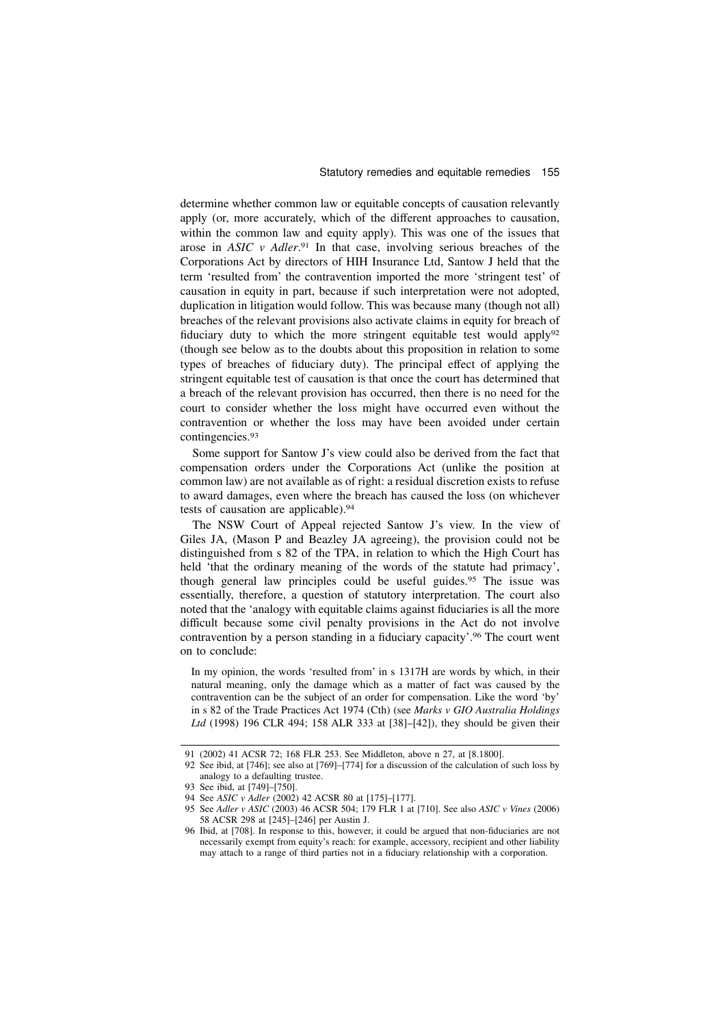determine whether common law or equitable concepts of causation relevantly apply (or, more accurately, which of the different approaches to causation, within the common law and equity apply). This was one of the issues that arose in ASIC v Adler.<sup>91</sup> In that case, involving serious breaches of the Corporations Act by directors of HIH Insurance Ltd, Santow J held that the term 'resulted from' the contravention imported the more 'stringent test' of causation in equity in part, because if such interpretation were not adopted, duplication in litigation would follow. This was because many (though not all) breaches of the relevant provisions also activate claims in equity for breach of fiduciary duty to which the more stringent equitable test would apply<sup>92</sup> (though see below as to the doubts about this proposition in relation to some types of breaches of fiduciary duty). The principal effect of applying the stringent equitable test of causation is that once the court has determined that a breach of the relevant provision has occurred, then there is no need for the court to consider whether the loss might have occurred even without the contravention or whether the loss may have been avoided under certain contingencies.<sup>93</sup>

Some support for Santow J's view could also be derived from the fact that compensation orders under the Corporations Act (unlike the position at common law) are not available as of right: a residual discretion exists to refuse to award damages, even where the breach has caused the loss (on whichever tests of causation are applicable).<sup>94</sup>

The NSW Court of Appeal rejected Santow J's view. In the view of Giles JA, (Mason P and Beazley JA agreeing), the provision could not be distinguished from s 82 of the TPA, in relation to which the High Court has held 'that the ordinary meaning of the words of the statute had primacy', though general law principles could be useful guides.<sup>95</sup> The issue was essentially, therefore, a question of statutory interpretation. The court also noted that the 'analogy with equitable claims against fiduciaries is all the more difficult because some civil penalty provisions in the Act do not involve contravention by a person standing in a fiduciary capacity'.<sup>96</sup> The court went on to conclude:

In my opinion, the words 'resulted from' in s 1317H are words by which, in their natural meaning, only the damage which as a matter of fact was caused by the contravention can be the subject of an order for compensation. Like the word 'by' in s 82 of the Trade Practices Act 1974 (Cth) (see Marks v GIO Australia Holdings Ltd (1998) 196 CLR 494; 158 ALR 333 at [38]–[42]), they should be given their

<sup>91 (2002) 41</sup> ACSR 72; 168 FLR 253. See Middleton, above n 27, at [8.1800].

<sup>92</sup> See ibid, at [746]; see also at [769]–[774] for a discussion of the calculation of such loss by analogy to a defaulting trustee.

<sup>93</sup> See ibid, at [749]–[750].

<sup>94</sup> See ASIC v Adler (2002) 42 ACSR 80 at [175]–[177].

<sup>95</sup> See Adler v ASIC (2003) 46 ACSR 504; 179 FLR 1 at [710]. See also ASIC v Vines (2006) 58 ACSR 298 at [245]–[246] per Austin J.

<sup>96</sup> Ibid, at [708]. In response to this, however, it could be argued that non-fiduciaries are not necessarily exempt from equity's reach: for example, accessory, recipient and other liability may attach to a range of third parties not in a fiduciary relationship with a corporation.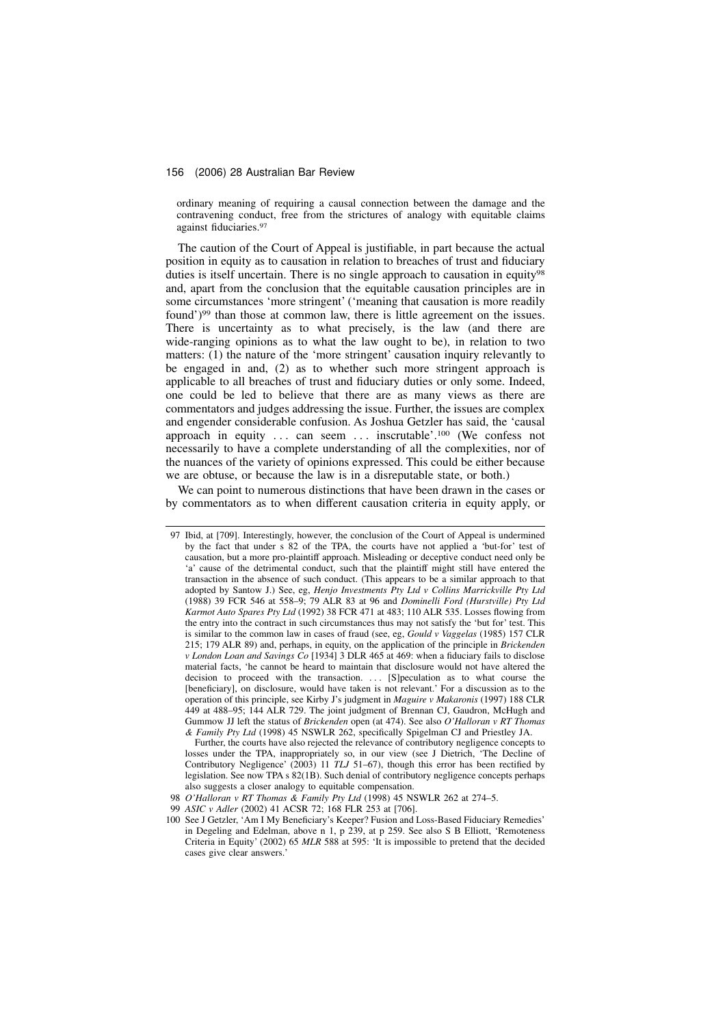ordinary meaning of requiring a causal connection between the damage and the contravening conduct, free from the strictures of analogy with equitable claims against fiduciaries.<sup>97</sup>

The caution of the Court of Appeal is justifiable, in part because the actual position in equity as to causation in relation to breaches of trust and fiduciary duties is itself uncertain. There is no single approach to causation in equity<sup>98</sup> and, apart from the conclusion that the equitable causation principles are in some circumstances 'more stringent' ('meaning that causation is more readily found')<sup>99</sup> than those at common law, there is little agreement on the issues. There is uncertainty as to what precisely, is the law (and there are wide-ranging opinions as to what the law ought to be), in relation to two matters: (1) the nature of the 'more stringent' causation inquiry relevantly to be engaged in and, (2) as to whether such more stringent approach is applicable to all breaches of trust and fiduciary duties or only some. Indeed, one could be led to believe that there are as many views as there are commentators and judges addressing the issue. Further, the issues are complex and engender considerable confusion. As Joshua Getzler has said, the 'causal approach in equity ... can seem ... inscrutable'.<sup>100</sup> (We confess not necessarily to have a complete understanding of all the complexities, nor of the nuances of the variety of opinions expressed. This could be either because we are obtuse, or because the law is in a disreputable state, or both.)

We can point to numerous distinctions that have been drawn in the cases or by commentators as to when different causation criteria in equity apply, or

<sup>97</sup> Ibid, at [709]. Interestingly, however, the conclusion of the Court of Appeal is undermined by the fact that under s 82 of the TPA, the courts have not applied a 'but-for' test of causation, but a more pro-plaintiff approach. Misleading or deceptive conduct need only be 'a' cause of the detrimental conduct, such that the plaintiff might still have entered the transaction in the absence of such conduct. (This appears to be a similar approach to that adopted by Santow J.) See, eg, Henjo Investments Pty Ltd v Collins Marrickville Pty Ltd (1988) 39 FCR 546 at 558–9; 79 ALR 83 at 96 and Dominelli Ford (Hurstville) Pty Ltd Karmot Auto Spares Pty Ltd (1992) 38 FCR 471 at 483; 110 ALR 535. Losses flowing from the entry into the contract in such circumstances thus may not satisfy the 'but for' test. This is similar to the common law in cases of fraud (see, eg, Gould v Vaggelas (1985) 157 CLR 215; 179 ALR 89) and, perhaps, in equity, on the application of the principle in Brickenden v London Loan and Savings Co [1934] 3 DLR 465 at 469: when a fiduciary fails to disclose material facts, 'he cannot be heard to maintain that disclosure would not have altered the decision to proceed with the transaction. . . [S]peculation as to what course the [beneficiary], on disclosure, would have taken is not relevant.' For a discussion as to the operation of this principle, see Kirby J's judgment in Maguire v Makaronis (1997) 188 CLR 449 at 488–95; 144 ALR 729. The joint judgment of Brennan CJ, Gaudron, McHugh and Gummow JJ left the status of Brickenden open (at 474). See also O'Halloran v RT Thomas & Family Pty Ltd (1998) 45 NSWLR 262, specifically Spigelman CJ and Priestley JA.

Further, the courts have also rejected the relevance of contributory negligence concepts to losses under the TPA, inappropriately so, in our view (see J Dietrich, 'The Decline of Contributory Negligence' (2003) 11  $TLJ$  51–67), though this error has been rectified by legislation. See now TPA s 82(1B). Such denial of contributory negligence concepts perhaps also suggests a closer analogy to equitable compensation.

<sup>98</sup> O'Halloran v RT Thomas & Family Pty Ltd (1998) 45 NSWLR 262 at 274–5.

<sup>99</sup> ASIC v Adler (2002) 41 ACSR 72; 168 FLR 253 at [706].

<sup>100</sup> See J Getzler, 'Am I My Beneficiary's Keeper? Fusion and Loss-Based Fiduciary Remedies' in Degeling and Edelman, above n 1, p 239, at p 259. See also S B Elliott, 'Remoteness Criteria in Equity' (2002) 65 MLR 588 at 595: 'It is impossible to pretend that the decided cases give clear answers.'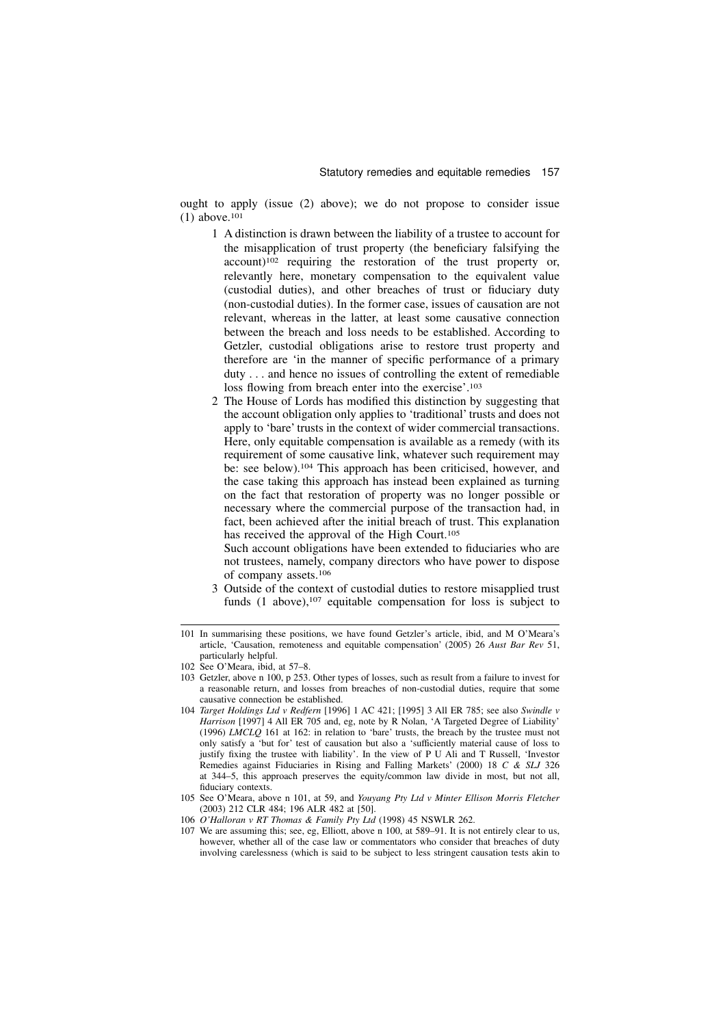ought to apply (issue (2) above); we do not propose to consider issue (1) above.<sup>101</sup>

- 1 A distinction is drawn between the liability of a trustee to account for the misapplication of trust property (the beneficiary falsifying the account)<sup>102</sup> requiring the restoration of the trust property or, relevantly here, monetary compensation to the equivalent value (custodial duties), and other breaches of trust or fiduciary duty (non-custodial duties). In the former case, issues of causation are not relevant, whereas in the latter, at least some causative connection between the breach and loss needs to be established. According to Getzler, custodial obligations arise to restore trust property and therefore are 'in the manner of specific performance of a primary duty . . . and hence no issues of controlling the extent of remediable loss flowing from breach enter into the exercise'.<sup>103</sup>
- 2 The House of Lords has modified this distinction by suggesting that the account obligation only applies to 'traditional' trusts and does not apply to 'bare' trusts in the context of wider commercial transactions. Here, only equitable compensation is available as a remedy (with its requirement of some causative link, whatever such requirement may be: see below).<sup>104</sup> This approach has been criticised, however, and the case taking this approach has instead been explained as turning on the fact that restoration of property was no longer possible or necessary where the commercial purpose of the transaction had, in fact, been achieved after the initial breach of trust. This explanation has received the approval of the High Court.<sup>105</sup>

Such account obligations have been extended to fiduciaries who are not trustees, namely, company directors who have power to dispose of company assets.<sup>106</sup>

3 Outside of the context of custodial duties to restore misapplied trust funds  $(1$  above),  $107$  equitable compensation for loss is subject to

<sup>101</sup> In summarising these positions, we have found Getzler's article, ibid, and M O'Meara's article, 'Causation, remoteness and equitable compensation' (2005) 26 Aust Bar Rev 51, particularly helpful.

<sup>102</sup> See O'Meara, ibid, at 57–8.

<sup>103</sup> Getzler, above n 100, p 253. Other types of losses, such as result from a failure to invest for a reasonable return, and losses from breaches of non-custodial duties, require that some causative connection be established.

<sup>104</sup> Target Holdings Ltd v Redfern [1996] 1 AC 421; [1995] 3 All ER 785; see also Swindle v Harrison [1997] 4 All ER 705 and, eg, note by R Nolan, 'A Targeted Degree of Liability' (1996) LMCLQ 161 at 162: in relation to 'bare' trusts, the breach by the trustee must not only satisfy a 'but for' test of causation but also a 'sufficiently material cause of loss to justify fixing the trustee with liability'. In the view of P U Ali and T Russell, 'Investor Remedies against Fiduciaries in Rising and Falling Markets' (2000) 18 C & SLJ 326 at 344–5, this approach preserves the equity/common law divide in most, but not all, fiduciary contexts.

<sup>105</sup> See O'Meara, above n 101, at 59, and Youyang Pty Ltd v Minter Ellison Morris Fletcher (2003) 212 CLR 484; 196 ALR 482 at [50].

<sup>106</sup> O'Halloran v RT Thomas & Family Pty Ltd (1998) 45 NSWLR 262.

<sup>107</sup> We are assuming this; see, eg, Elliott, above n 100, at 589–91. It is not entirely clear to us, however, whether all of the case law or commentators who consider that breaches of duty involving carelessness (which is said to be subject to less stringent causation tests akin to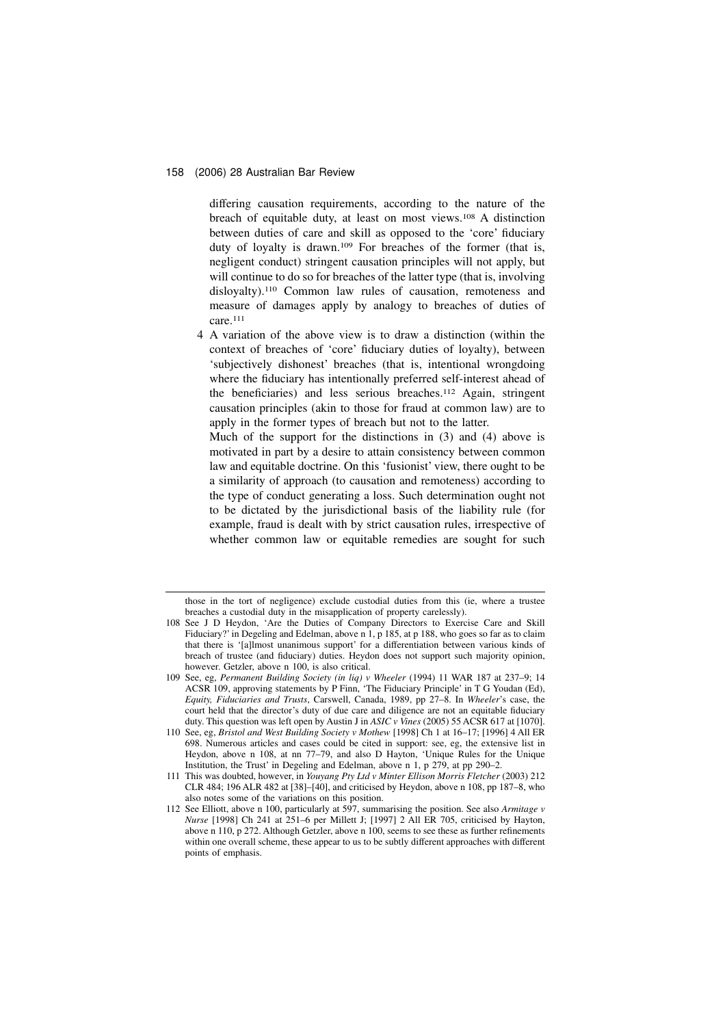differing causation requirements, according to the nature of the breach of equitable duty, at least on most views.<sup>108</sup> A distinction between duties of care and skill as opposed to the 'core' fiduciary duty of loyalty is drawn.<sup>109</sup> For breaches of the former (that is, negligent conduct) stringent causation principles will not apply, but will continue to do so for breaches of the latter type (that is, involving disloyalty).<sup>110</sup> Common law rules of causation, remoteness and measure of damages apply by analogy to breaches of duties of care.<sup>111</sup>

4 A variation of the above view is to draw a distinction (within the context of breaches of 'core' fiduciary duties of loyalty), between 'subjectively dishonest' breaches (that is, intentional wrongdoing where the fiduciary has intentionally preferred self-interest ahead of the beneficiaries) and less serious breaches.<sup>112</sup> Again, stringent causation principles (akin to those for fraud at common law) are to apply in the former types of breach but not to the latter.

Much of the support for the distinctions in (3) and (4) above is motivated in part by a desire to attain consistency between common law and equitable doctrine. On this 'fusionist' view, there ought to be a similarity of approach (to causation and remoteness) according to the type of conduct generating a loss. Such determination ought not to be dictated by the jurisdictional basis of the liability rule (for example, fraud is dealt with by strict causation rules, irrespective of whether common law or equitable remedies are sought for such

those in the tort of negligence) exclude custodial duties from this (ie, where a trustee breaches a custodial duty in the misapplication of property carelessly).

<sup>108</sup> See J D Heydon, 'Are the Duties of Company Directors to Exercise Care and Skill Fiduciary?' in Degeling and Edelman, above n 1, p 185, at p 188, who goes so far as to claim that there is '[a]lmost unanimous support' for a differentiation between various kinds of breach of trustee (and fiduciary) duties. Heydon does not support such majority opinion, however. Getzler, above n 100, is also critical.

<sup>109</sup> See, eg, Permanent Building Society (in liq) v Wheeler (1994) 11 WAR 187 at 237–9; 14 ACSR 109, approving statements by P Finn, 'The Fiduciary Principle' in T G Youdan (Ed), Equity, Fiduciaries and Trusts, Carswell, Canada, 1989, pp 27–8. In Wheeler's case, the court held that the director's duty of due care and diligence are not an equitable fiduciary duty. This question was left open by Austin J in ASIC v Vines (2005) 55 ACSR 617 at [1070].

<sup>110</sup> See, eg, Bristol and West Building Society v Mothew [1998] Ch 1 at 16–17; [1996] 4 All ER 698. Numerous articles and cases could be cited in support: see, eg, the extensive list in Heydon, above n 108, at nn 77–79, and also D Hayton, 'Unique Rules for the Unique Institution, the Trust' in Degeling and Edelman, above n 1, p 279, at pp 290–2.

<sup>111</sup> This was doubted, however, in Youyang Pty Ltd v Minter Ellison Morris Fletcher (2003) 212 CLR 484; 196 ALR 482 at [38]–[40], and criticised by Heydon, above n 108, pp 187–8, who also notes some of the variations on this position.

<sup>112</sup> See Elliott, above n 100, particularly at  $597$ , summarising the position. See also Armitage v Nurse [1998] Ch 241 at 251–6 per Millett J; [1997] 2 All ER 705, criticised by Hayton, above n 110, p 272. Although Getzler, above n 100, seems to see these as further refinements within one overall scheme, these appear to us to be subtly different approaches with different points of emphasis.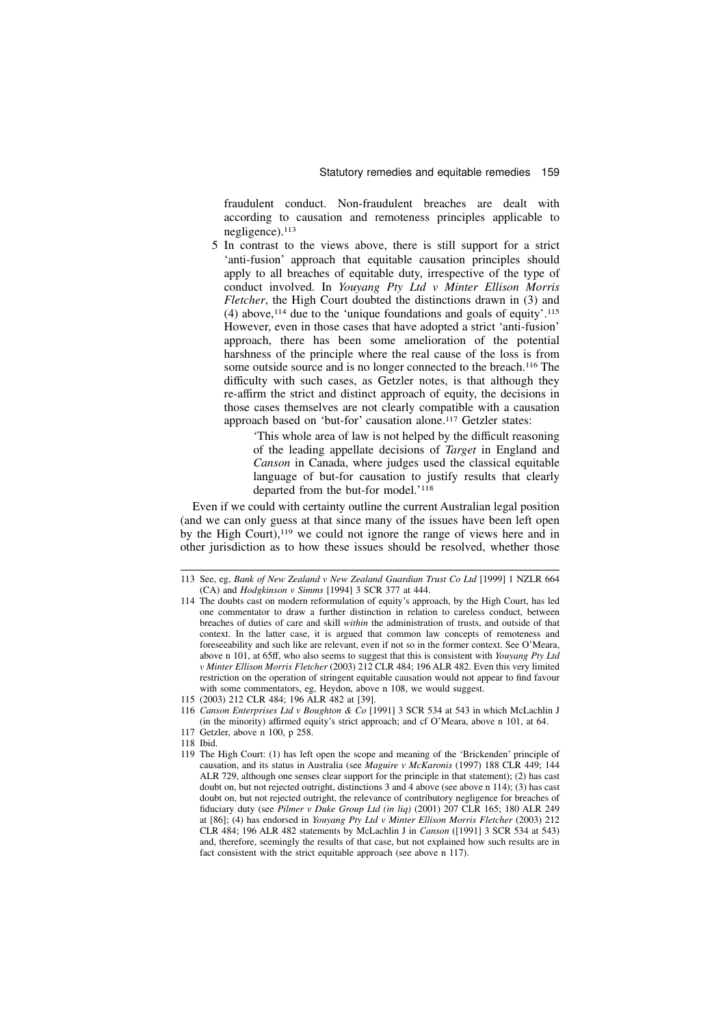fraudulent conduct. Non-fraudulent breaches are dealt with according to causation and remoteness principles applicable to negligence).<sup>113</sup>

5 In contrast to the views above, there is still support for a strict 'anti-fusion' approach that equitable causation principles should apply to all breaches of equitable duty, irrespective of the type of conduct involved. In Youyang Pty Ltd v Minter Ellison Morris Fletcher, the High Court doubted the distinctions drawn in (3) and (4) above,  $114$  due to the 'unique foundations and goals of equity'.  $115$ However, even in those cases that have adopted a strict 'anti-fusion' approach, there has been some amelioration of the potential harshness of the principle where the real cause of the loss is from some outside source and is no longer connected to the breach.<sup>116</sup> The difficulty with such cases, as Getzler notes, is that although they re-affirm the strict and distinct approach of equity, the decisions in those cases themselves are not clearly compatible with a causation approach based on 'but-for' causation alone.<sup>117</sup> Getzler states:

> 'This whole area of law is not helped by the difficult reasoning of the leading appellate decisions of Target in England and Canson in Canada, where judges used the classical equitable language of but-for causation to justify results that clearly departed from the but-for model.'<sup>118</sup>

Even if we could with certainty outline the current Australian legal position (and we can only guess at that since many of the issues have been left open by the High Court),<sup>119</sup> we could not ignore the range of views here and in other jurisdiction as to how these issues should be resolved, whether those

118 Ibid.

<sup>113</sup> See, eg, Bank of New Zealand v New Zealand Guardian Trust Co Ltd [1999] 1 NZLR 664 (CA) and Hodgkinson v Simms [1994] 3 SCR 377 at 444.

<sup>114</sup> The doubts cast on modern reformulation of equity's approach, by the High Court, has led one commentator to draw a further distinction in relation to careless conduct, between breaches of duties of care and skill within the administration of trusts, and outside of that context. In the latter case, it is argued that common law concepts of remoteness and foreseeability and such like are relevant, even if not so in the former context. See O'Meara, above n 101, at 65ff, who also seems to suggest that this is consistent with Youyang Pty Ltd v Minter Ellison Morris Fletcher (2003) 212 CLR 484; 196 ALR 482. Even this very limited restriction on the operation of stringent equitable causation would not appear to find favour with some commentators, eg, Heydon, above n 108, we would suggest.

<sup>115 (2003) 212</sup> CLR 484; 196 ALR 482 at [39].

<sup>116</sup> Canson Enterprises Ltd v Boughton & Co [1991] 3 SCR 534 at 543 in which McLachlin J (in the minority) affirmed equity's strict approach; and cf O'Meara, above n 101, at 64.

<sup>117</sup> Getzler, above n 100, p 258.

<sup>119</sup> The High Court: (1) has left open the scope and meaning of the 'Brickenden' principle of causation, and its status in Australia (see Maguire v McKaronis (1997) 188 CLR 449; 144 ALR 729, although one senses clear support for the principle in that statement); (2) has cast doubt on, but not rejected outright, distinctions 3 and 4 above (see above n 114); (3) has cast doubt on, but not rejected outright, the relevance of contributory negligence for breaches of fiduciary duty (see Pilmer v Duke Group Ltd (in liq) (2001) 207 CLR 165; 180 ALR 249 at [86]; (4) has endorsed in Youyang Pty Ltd v Minter Ellison Morris Fletcher (2003) 212 CLR 484; 196 ALR 482 statements by McLachlin J in Canson ([1991] 3 SCR 534 at 543) and, therefore, seemingly the results of that case, but not explained how such results are in fact consistent with the strict equitable approach (see above n 117).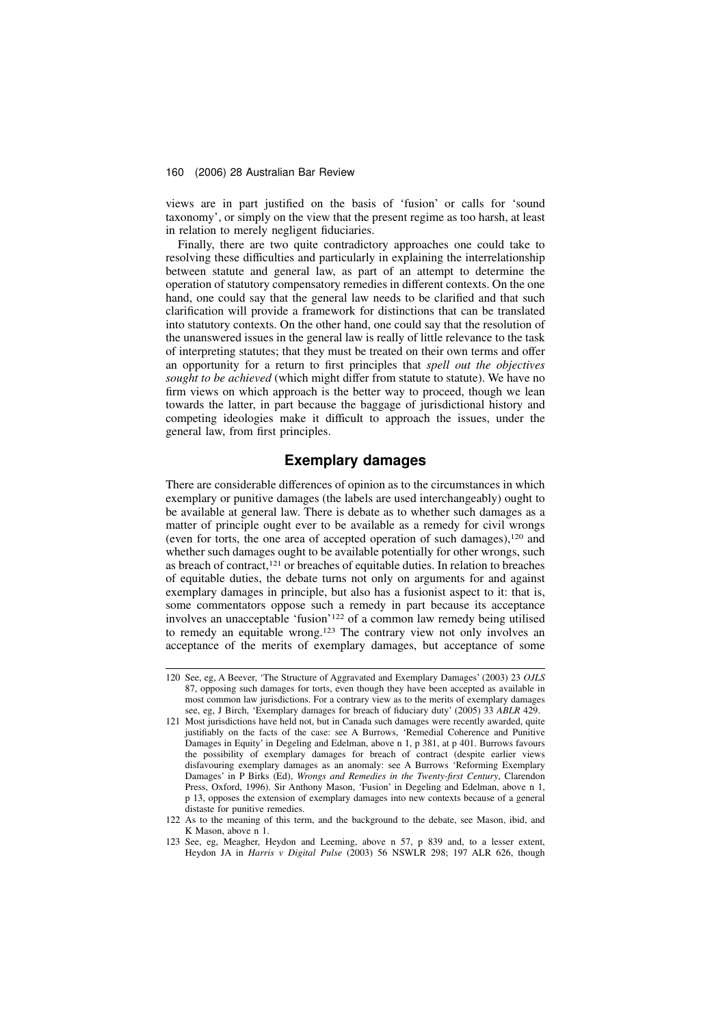views are in part justified on the basis of 'fusion' or calls for 'sound taxonomy', or simply on the view that the present regime as too harsh, at least in relation to merely negligent fiduciaries.

Finally, there are two quite contradictory approaches one could take to resolving these difficulties and particularly in explaining the interrelationship between statute and general law, as part of an attempt to determine the operation of statutory compensatory remedies in different contexts. On the one hand, one could say that the general law needs to be clarified and that such clarification will provide a framework for distinctions that can be translated into statutory contexts. On the other hand, one could say that the resolution of the unanswered issues in the general law is really of little relevance to the task of interpreting statutes; that they must be treated on their own terms and offer an opportunity for a return to first principles that spell out the objectives sought to be achieved (which might differ from statute to statute). We have no firm views on which approach is the better way to proceed, though we lean towards the latter, in part because the baggage of jurisdictional history and competing ideologies make it difficult to approach the issues, under the general law, from first principles.

# Exemplary damages

There are considerable differences of opinion as to the circumstances in which exemplary or punitive damages (the labels are used interchangeably) ought to be available at general law. There is debate as to whether such damages as a matter of principle ought ever to be available as a remedy for civil wrongs (even for torts, the one area of accepted operation of such damages),<sup>120</sup> and whether such damages ought to be available potentially for other wrongs, such as breach of contract,<sup>121</sup> or breaches of equitable duties. In relation to breaches of equitable duties, the debate turns not only on arguments for and against exemplary damages in principle, but also has a fusionist aspect to it: that is, some commentators oppose such a remedy in part because its acceptance involves an unacceptable 'fusion'<sup>122</sup> of a common law remedy being utilised to remedy an equitable wrong.<sup>123</sup> The contrary view not only involves an acceptance of the merits of exemplary damages, but acceptance of some

<sup>120</sup> See, eg, A Beever, 'The Structure of Aggravated and Exemplary Damages' (2003) 23 OJLS 87, opposing such damages for torts, even though they have been accepted as available in most common law jurisdictions. For a contrary view as to the merits of exemplary damages see, eg, J Birch, 'Exemplary damages for breach of fiduciary duty' (2005) 33 ABLR 429.

<sup>121</sup> Most jurisdictions have held not, but in Canada such damages were recently awarded, quite justifiably on the facts of the case: see A Burrows, 'Remedial Coherence and Punitive Damages in Equity' in Degeling and Edelman, above n 1, p 381, at p 401. Burrows favours the possibility of exemplary damages for breach of contract (despite earlier views disfavouring exemplary damages as an anomaly: see A Burrows 'Reforming Exemplary Damages' in P Birks (Ed), Wrongs and Remedies in the Twenty-first Century, Clarendon Press, Oxford, 1996). Sir Anthony Mason, 'Fusion' in Degeling and Edelman, above n 1, p 13, opposes the extension of exemplary damages into new contexts because of a general distaste for punitive remedies.

<sup>122</sup> As to the meaning of this term, and the background to the debate, see Mason, ibid, and K Mason, above n 1.

<sup>123</sup> See, eg, Meagher, Heydon and Leeming, above n 57, p 839 and, to a lesser extent, Heydon JA in Harris v Digital Pulse (2003) 56 NSWLR 298; 197 ALR 626, though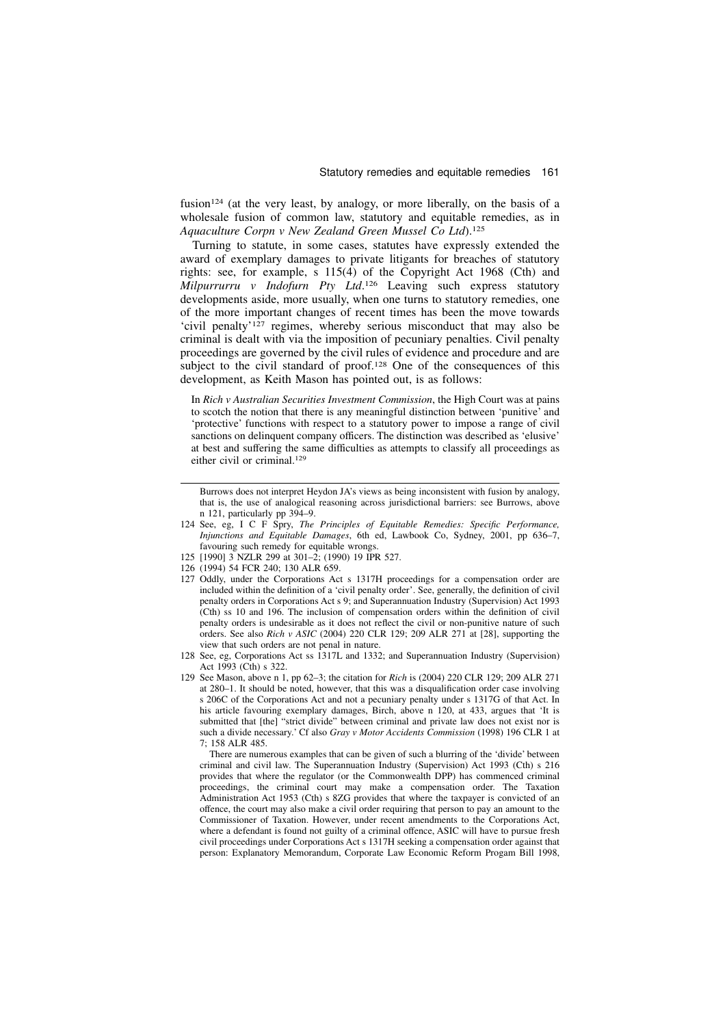fusion<sup>124</sup> (at the very least, by analogy, or more liberally, on the basis of a wholesale fusion of common law, statutory and equitable remedies, as in Aquaculture Corpn v New Zealand Green Mussel Co Ltd).<sup>125</sup>

Turning to statute, in some cases, statutes have expressly extended the award of exemplary damages to private litigants for breaches of statutory rights: see, for example, s 115(4) of the Copyright Act 1968 (Cth) and Milpurrurru v Indofurn Pty Ltd.<sup>126</sup> Leaving such express statutory developments aside, more usually, when one turns to statutory remedies, one of the more important changes of recent times has been the move towards 'civil penalty'<sup>127</sup> regimes, whereby serious misconduct that may also be criminal is dealt with via the imposition of pecuniary penalties. Civil penalty proceedings are governed by the civil rules of evidence and procedure and are subject to the civil standard of proof.<sup>128</sup> One of the consequences of this development, as Keith Mason has pointed out, is as follows:

In Rich v Australian Securities Investment Commission, the High Court was at pains to scotch the notion that there is any meaningful distinction between 'punitive' and 'protective' functions with respect to a statutory power to impose a range of civil sanctions on delinquent company officers. The distinction was described as 'elusive' at best and suffering the same difficulties as attempts to classify all proceedings as either civil or criminal.<sup>129</sup>

- 124 See, eg, I C F Spry, The Principles of Equitable Remedies: Specific Performance, Injunctions and Equitable Damages, 6th ed, Lawbook Co, Sydney, 2001, pp 636–7, favouring such remedy for equitable wrongs.
- 125 [1990] 3 NZLR 299 at 301–2; (1990) 19 IPR 527.
- 126 (1994) 54 FCR 240; 130 ALR 659.
- 127 Oddly, under the Corporations Act s 1317H proceedings for a compensation order are included within the definition of a 'civil penalty order'. See, generally, the definition of civil penalty orders in Corporations Act s 9; and Superannuation Industry (Supervision) Act 1993 (Cth) ss 10 and 196. The inclusion of compensation orders within the definition of civil penalty orders is undesirable as it does not reflect the civil or non-punitive nature of such orders. See also Rich v ASIC (2004) 220 CLR 129; 209 ALR 271 at [28], supporting the view that such orders are not penal in nature.
- 128 See, eg, Corporations Act ss 1317L and 1332; and Superannuation Industry (Supervision) Act 1993 (Cth) s 322.
- 129 See Mason, above n 1, pp 62–3; the citation for Rich is (2004) 220 CLR 129; 209 ALR 271 at 280–1. It should be noted, however, that this was a disqualification order case involving s 206C of the Corporations Act and not a pecuniary penalty under s 1317G of that Act. In his article favouring exemplary damages, Birch, above n 120, at 433, argues that 'It is submitted that [the] "strict divide" between criminal and private law does not exist nor is such a divide necessary.' Cf also Gray v Motor Accidents Commission (1998) 196 CLR 1 at  $7:158$  ALR 485.

There are numerous examples that can be given of such a blurring of the 'divide' between criminal and civil law. The Superannuation Industry (Supervision) Act 1993 (Cth) s 216 provides that where the regulator (or the Commonwealth DPP) has commenced criminal proceedings, the criminal court may make a compensation order. The Taxation Administration Act 1953 (Cth) s 8ZG provides that where the taxpayer is convicted of an offence, the court may also make a civil order requiring that person to pay an amount to the Commissioner of Taxation. However, under recent amendments to the Corporations Act, where a defendant is found not guilty of a criminal offence, ASIC will have to pursue fresh civil proceedings under Corporations Act s 1317H seeking a compensation order against that person: Explanatory Memorandum, Corporate Law Economic Reform Progam Bill 1998,

Burrows does not interpret Heydon JA's views as being inconsistent with fusion by analogy, that is, the use of analogical reasoning across jurisdictional barriers: see Burrows, above n 121, particularly pp 394–9.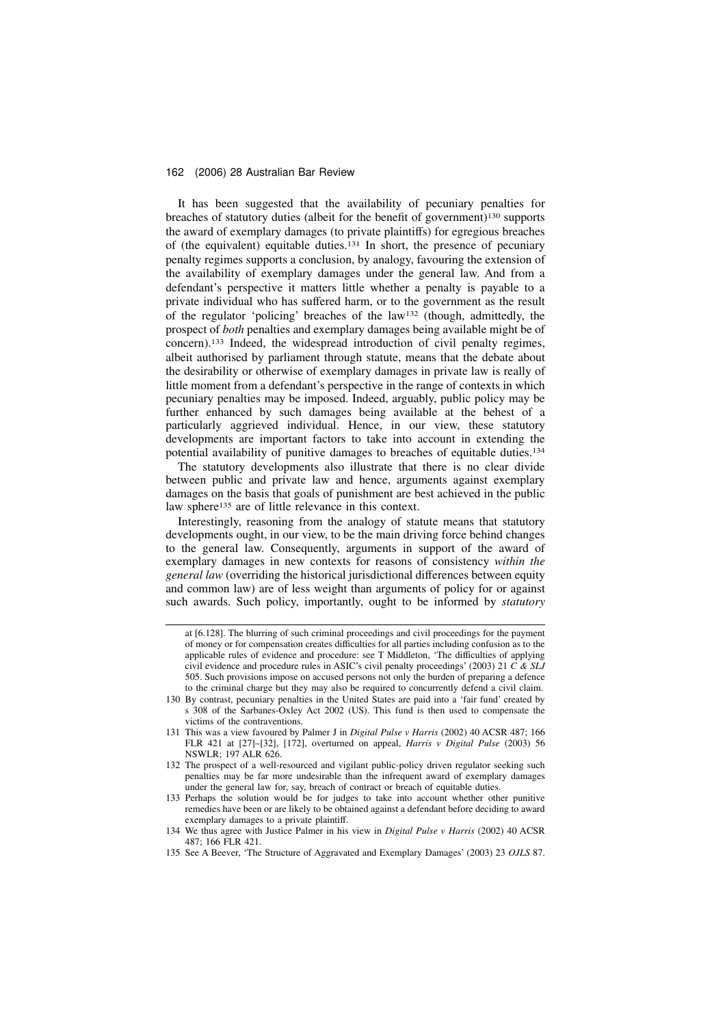It has been suggested that the availability of pecuniary penalties for breaches of statutory duties (albeit for the benefit of government)<sup>130</sup> supports the award of exemplary damages (to private plaintiffs) for egregious breaches of (the equivalent) equitable duties.<sup>131</sup> In short, the presence of pecuniary penalty regimes supports a conclusion, by analogy, favouring the extension of the availability of exemplary damages under the general law. And from a defendant's perspective it matters little whether a penalty is payable to a private individual who has suffered harm, or to the government as the result of the regulator 'policing' breaches of the law<sup>132</sup> (though, admittedly, the prospect of both penalties and exemplary damages being available might be of concern).<sup>133</sup> Indeed, the widespread introduction of civil penalty regimes, albeit authorised by parliament through statute, means that the debate about the desirability or otherwise of exemplary damages in private law is really of little moment from a defendant's perspective in the range of contexts in which pecuniary penalties may be imposed. Indeed, arguably, public policy may be further enhanced by such damages being available at the behest of a particularly aggrieved individual. Hence, in our view, these statutory developments are important factors to take into account in extending the potential availability of punitive damages to breaches of equitable duties.<sup>134</sup>

The statutory developments also illustrate that there is no clear divide between public and private law and hence, arguments against exemplary damages on the basis that goals of punishment are best achieved in the public law sphere<sup>135</sup> are of little relevance in this context.

Interestingly, reasoning from the analogy of statute means that statutory developments ought, in our view, to be the main driving force behind changes to the general law. Consequently, arguments in support of the award of exemplary damages in new contexts for reasons of consistency within the general law (overriding the historical jurisdictional differences between equity and common law) are of less weight than arguments of policy for or against such awards. Such policy, importantly, ought to be informed by *statutory* 

at [6.128]. The blurring of such criminal proceedings and civil proceedings for the payment of money or for compensation creates difficulties for all parties including confusion as to the applicable rules of evidence and procedure: see T Middleton, 'The difficulties of applying civil evidence and procedure rules in ASIC's civil penalty proceedings' (2003) 21  $\hat{C} \& \overline{SLJ}$ 505. Such provisions impose on accused persons not only the burden of preparing a defence to the criminal charge but they may also be required to concurrently defend a civil claim.

<sup>130</sup> By contrast, pecuniary penalties in the United States are paid into a 'fair fund' created by s 308 of the Sarbanes-Oxley Act 2002 (US). This fund is then used to compensate the victims of the contraventions.

<sup>131</sup> This was a view favoured by Palmer J in Digital Pulse v Harris (2002) 40 ACSR 487; 166 FLR 421 at [27]–[32], [172], overturned on appeal, Harris v Digital Pulse (2003) 56 NSWLR; 197 ALR 626.

<sup>132</sup> The prospect of a well-resourced and vigilant public-policy driven regulator seeking such penalties may be far more undesirable than the infrequent award of exemplary damages under the general law for, say, breach of contract or breach of equitable duties.

<sup>133</sup> Perhaps the solution would be for judges to take into account whether other punitive remedies have been or are likely to be obtained against a defendant before deciding to award exemplary damages to a private plaintiff.

<sup>134</sup> We thus agree with Justice Palmer in his view in Digital Pulse v Harris (2002) 40 ACSR 487; 166 FLR 421.

<sup>135</sup> See A Beever, 'The Structure of Aggravated and Exemplary Damages' (2003) 23 OJLS 87.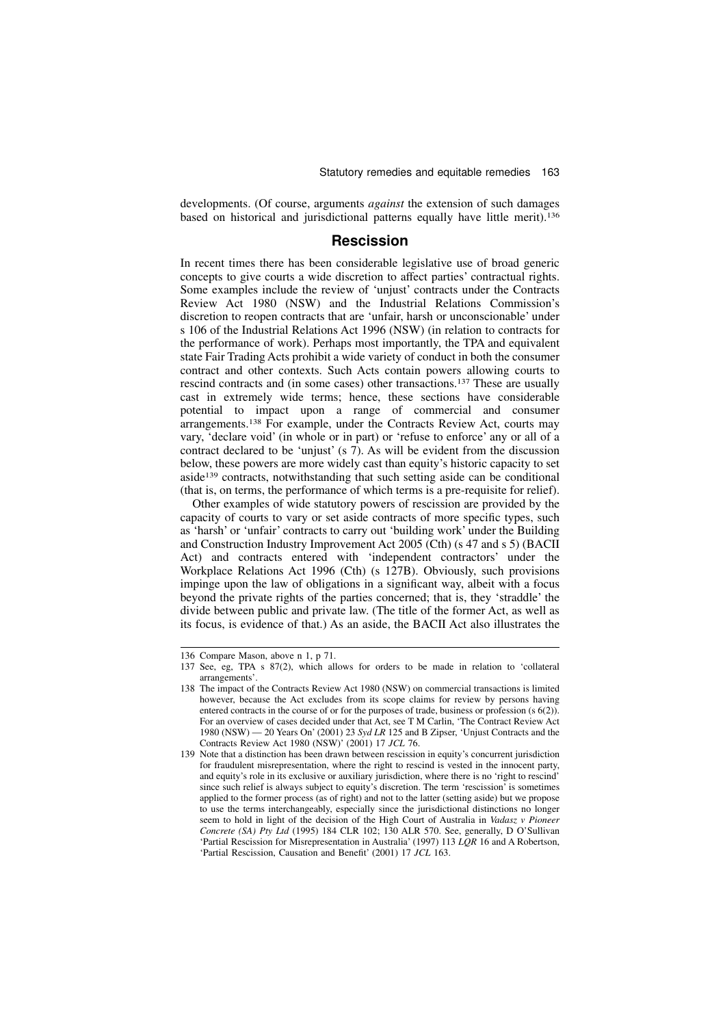developments. (Of course, arguments against the extension of such damages based on historical and jurisdictional patterns equally have little merit).<sup>136</sup>

### Rescission

In recent times there has been considerable legislative use of broad generic concepts to give courts a wide discretion to affect parties' contractual rights. Some examples include the review of 'unjust' contracts under the Contracts Review Act 1980 (NSW) and the Industrial Relations Commission's discretion to reopen contracts that are 'unfair, harsh or unconscionable' under s 106 of the Industrial Relations Act 1996 (NSW) (in relation to contracts for the performance of work). Perhaps most importantly, the TPA and equivalent state Fair Trading Acts prohibit a wide variety of conduct in both the consumer contract and other contexts. Such Acts contain powers allowing courts to rescind contracts and (in some cases) other transactions.<sup>137</sup> These are usually cast in extremely wide terms; hence, these sections have considerable potential to impact upon a range of commercial and consumer arrangements.<sup>138</sup> For example, under the Contracts Review Act, courts may vary, 'declare void' (in whole or in part) or 'refuse to enforce' any or all of a contract declared to be 'unjust' (s 7). As will be evident from the discussion below, these powers are more widely cast than equity's historic capacity to set aside<sup>139</sup> contracts, notwithstanding that such setting aside can be conditional (that is, on terms, the performance of which terms is a pre-requisite for relief).

Other examples of wide statutory powers of rescission are provided by the capacity of courts to vary or set aside contracts of more specific types, such as 'harsh' or 'unfair' contracts to carry out 'building work' under the Building and Construction Industry Improvement Act 2005 (Cth) (s 47 and s 5) (BACII Act) and contracts entered with 'independent contractors' under the Workplace Relations Act 1996 (Cth) (s 127B). Obviously, such provisions impinge upon the law of obligations in a significant way, albeit with a focus beyond the private rights of the parties concerned; that is, they 'straddle' the divide between public and private law. (The title of the former Act, as well as its focus, is evidence of that.) As an aside, the BACII Act also illustrates the

<sup>136</sup> Compare Mason, above n 1, p 71.

<sup>137</sup> See, eg, TPA s 87(2), which allows for orders to be made in relation to 'collateral arrangements'.

<sup>138</sup> The impact of the Contracts Review Act 1980 (NSW) on commercial transactions is limited however, because the Act excludes from its scope claims for review by persons having entered contracts in the course of or for the purposes of trade, business or profession (s 6(2)). For an overview of cases decided under that Act, see T M Carlin, 'The Contract Review Act 1980 (NSW)  $-$  20 Years On' (2001) 23 Syd LR 125 and B Zipser, 'Unjust Contracts and the Contracts Review Act 1980 (NSW)' (2001) 17 JCL 76.

<sup>139</sup> Note that a distinction has been drawn between rescission in equity's concurrent jurisdiction for fraudulent misrepresentation, where the right to rescind is vested in the innocent party, and equity's role in its exclusive or auxiliary jurisdiction, where there is no 'right to rescind' since such relief is always subject to equity's discretion. The term 'rescission' is sometimes applied to the former process (as of right) and not to the latter (setting aside) but we propose to use the terms interchangeably, especially since the jurisdictional distinctions no longer seem to hold in light of the decision of the High Court of Australia in Vadasz v Pioneer Concrete (SA) Pty Ltd (1995) 184 CLR 102; 130 ALR 570. See, generally, D O'Sullivan 'Partial Rescission for Misrepresentation in Australia' (1997) 113  $LQR$  16 and A Robertson, 'Partial Rescission, Causation and Benefit' (2001) 17 JCL 163.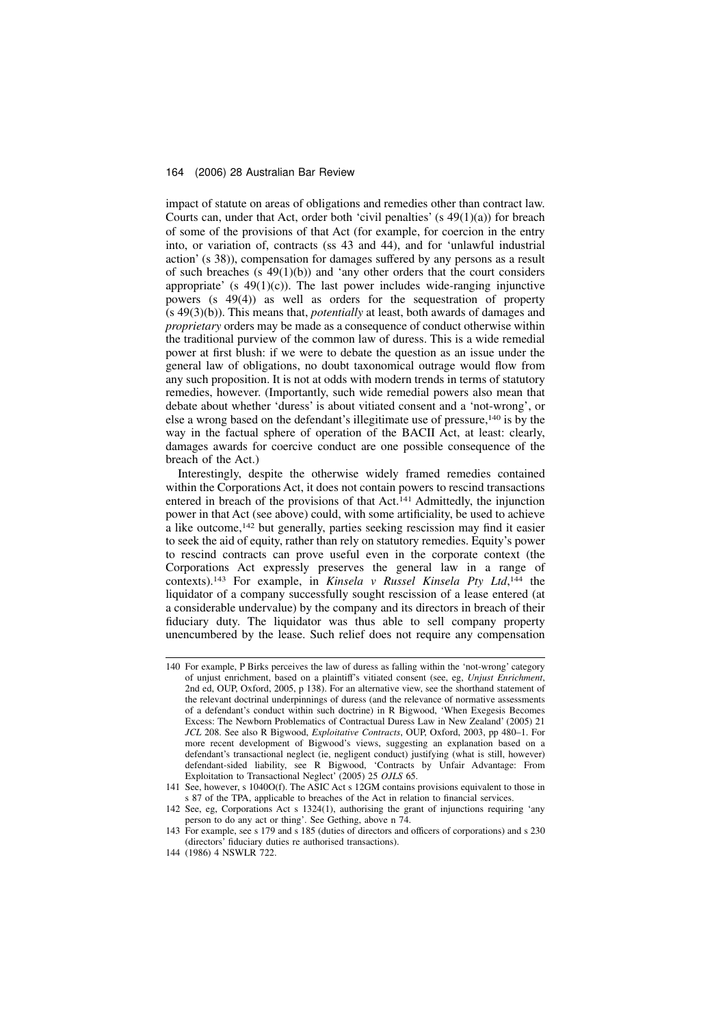impact of statute on areas of obligations and remedies other than contract law. Courts can, under that Act, order both 'civil penalties' (s  $49(1)(a)$ ) for breach of some of the provisions of that Act (for example, for coercion in the entry into, or variation of, contracts (ss 43 and 44), and for 'unlawful industrial action' (s 38)), compensation for damages suffered by any persons as a result of such breaches  $(s\ 49(1)(b))$  and 'any other orders that the court considers appropriate' (s  $49(1)(c)$ ). The last power includes wide-ranging injunctive powers (s 49(4)) as well as orders for the sequestration of property (s 49(3)(b)). This means that, potentially at least, both awards of damages and proprietary orders may be made as a consequence of conduct otherwise within the traditional purview of the common law of duress. This is a wide remedial power at first blush: if we were to debate the question as an issue under the general law of obligations, no doubt taxonomical outrage would flow from any such proposition. It is not at odds with modern trends in terms of statutory remedies, however. (Importantly, such wide remedial powers also mean that debate about whether 'duress' is about vitiated consent and a 'not-wrong', or else a wrong based on the defendant's illegitimate use of pressure,<sup>140</sup> is by the way in the factual sphere of operation of the BACII Act, at least: clearly, damages awards for coercive conduct are one possible consequence of the breach of the Act.)

Interestingly, despite the otherwise widely framed remedies contained within the Corporations Act, it does not contain powers to rescind transactions entered in breach of the provisions of that Act.<sup>141</sup> Admittedly, the injunction power in that Act (see above) could, with some artificiality, be used to achieve a like outcome,<sup>142</sup> but generally, parties seeking rescission may find it easier to seek the aid of equity, rather than rely on statutory remedies. Equity's power to rescind contracts can prove useful even in the corporate context (the Corporations Act expressly preserves the general law in a range of contexts).<sup>143</sup> For example, in Kinsela v Russel Kinsela Pty Ltd,<sup>144</sup> the liquidator of a company successfully sought rescission of a lease entered (at a considerable undervalue) by the company and its directors in breach of their fiduciary duty. The liquidator was thus able to sell company property unencumbered by the lease. Such relief does not require any compensation

<sup>140</sup> For example, P Birks perceives the law of duress as falling within the 'not-wrong' category of unjust enrichment, based on a plaintiff's vitiated consent (see, eg, Unjust Enrichment, 2nd ed, OUP, Oxford, 2005, p 138). For an alternative view, see the shorthand statement of the relevant doctrinal underpinnings of duress (and the relevance of normative assessments of a defendant's conduct within such doctrine) in R Bigwood, 'When Exegesis Becomes Excess: The Newborn Problematics of Contractual Duress Law in New Zealand' (2005) 21 JCL 208. See also R Bigwood, Exploitative Contracts, OUP, Oxford, 2003, pp 480–1. For more recent development of Bigwood's views, suggesting an explanation based on a defendant's transactional neglect (ie, negligent conduct) justifying (what is still, however) defendant-sided liability, see R Bigwood, 'Contracts by Unfair Advantage: From Exploitation to Transactional Neglect' (2005) 25 OJLS 65.

<sup>141</sup> See, however, s 1040O(f). The ASIC Act s 12GM contains provisions equivalent to those in s 87 of the TPA, applicable to breaches of the Act in relation to financial services.

<sup>142</sup> See, eg, Corporations Act s 1324(1), authorising the grant of injunctions requiring 'any person to do any act or thing'. See Gething, above n 74.

<sup>143</sup> For example, see s 179 and s 185 (duties of directors and officers of corporations) and s 230 (directors' fiduciary duties re authorised transactions).

<sup>144 (1986) 4</sup> NSWLR 722.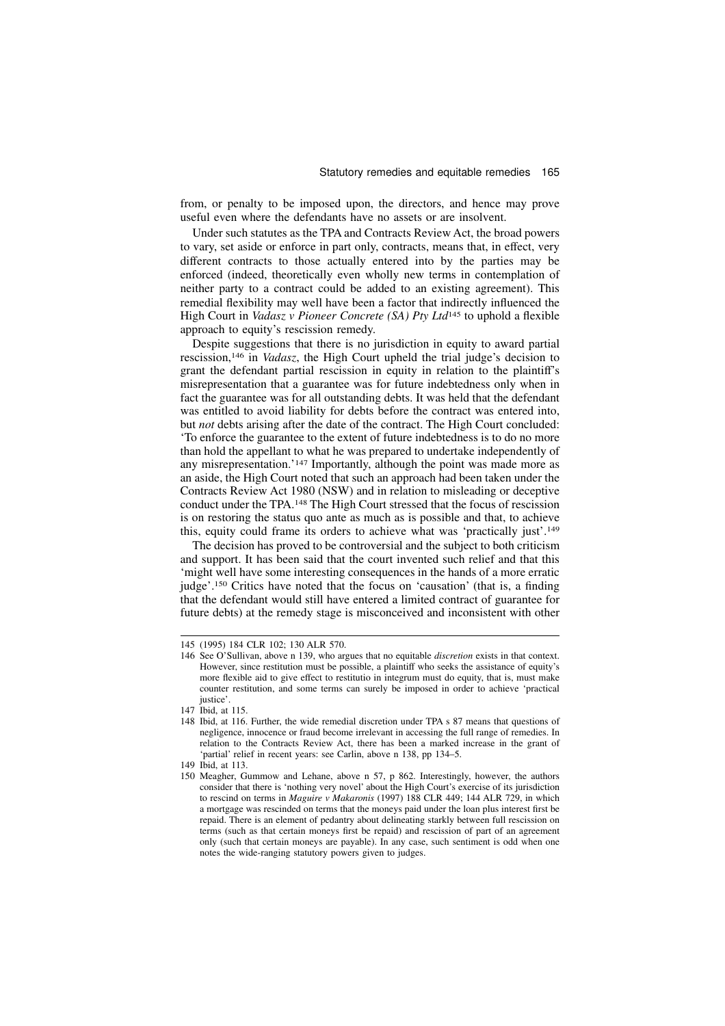from, or penalty to be imposed upon, the directors, and hence may prove useful even where the defendants have no assets or are insolvent.

Under such statutes as the TPA and Contracts Review Act, the broad powers to vary, set aside or enforce in part only, contracts, means that, in effect, very different contracts to those actually entered into by the parties may be enforced (indeed, theoretically even wholly new terms in contemplation of neither party to a contract could be added to an existing agreement). This remedial flexibility may well have been a factor that indirectly influenced the High Court in *Vadasz v Pioneer Concrete* (SA) Pty Ltd<sup>145</sup> to uphold a flexible approach to equity's rescission remedy.

Despite suggestions that there is no jurisdiction in equity to award partial rescission,<sup>146</sup> in Vadasz, the High Court upheld the trial judge's decision to grant the defendant partial rescission in equity in relation to the plaintiff's misrepresentation that a guarantee was for future indebtedness only when in fact the guarantee was for all outstanding debts. It was held that the defendant was entitled to avoid liability for debts before the contract was entered into, but not debts arising after the date of the contract. The High Court concluded: 'To enforce the guarantee to the extent of future indebtedness is to do no more than hold the appellant to what he was prepared to undertake independently of any misrepresentation.'<sup>147</sup> Importantly, although the point was made more as an aside, the High Court noted that such an approach had been taken under the Contracts Review Act 1980 (NSW) and in relation to misleading or deceptive conduct under the TPA.<sup>148</sup> The High Court stressed that the focus of rescission is on restoring the status quo ante as much as is possible and that, to achieve this, equity could frame its orders to achieve what was 'practically just'.<sup>149</sup>

The decision has proved to be controversial and the subject to both criticism and support. It has been said that the court invented such relief and that this 'might well have some interesting consequences in the hands of a more erratic judge'.<sup>150</sup> Critics have noted that the focus on 'causation' (that is, a finding that the defendant would still have entered a limited contract of guarantee for future debts) at the remedy stage is misconceived and inconsistent with other

<sup>145 (1995) 184</sup> CLR 102; 130 ALR 570.

<sup>146</sup> See O'Sullivan, above n 139, who argues that no equitable discretion exists in that context. However, since restitution must be possible, a plaintiff who seeks the assistance of equity's more flexible aid to give effect to restitutio in integrum must do equity, that is, must make counter restitution, and some terms can surely be imposed in order to achieve 'practical justice'.

<sup>147</sup> Ibid, at 115.

<sup>148</sup> Ibid, at 116. Further, the wide remedial discretion under TPA s 87 means that questions of negligence, innocence or fraud become irrelevant in accessing the full range of remedies. In relation to the Contracts Review Act, there has been a marked increase in the grant of 'partial' relief in recent years: see Carlin, above n 138, pp 134–5.

<sup>149</sup> Ibid, at 113.

<sup>150</sup> Meagher, Gummow and Lehane, above n 57, p 862. Interestingly, however, the authors consider that there is 'nothing very novel' about the High Court's exercise of its jurisdiction to rescind on terms in Maguire v Makaronis (1997) 188 CLR 449; 144 ALR 729, in which a mortgage was rescinded on terms that the moneys paid under the loan plus interest first be repaid. There is an element of pedantry about delineating starkly between full rescission on terms (such as that certain moneys first be repaid) and rescission of part of an agreement only (such that certain moneys are payable). In any case, such sentiment is odd when one notes the wide-ranging statutory powers given to judges.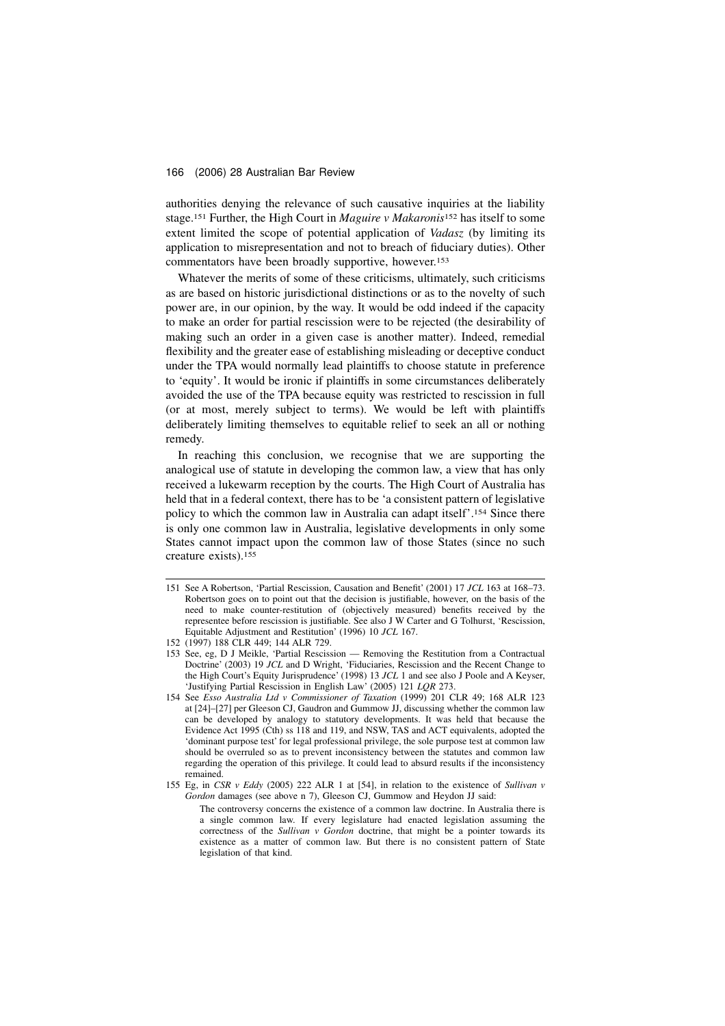authorities denying the relevance of such causative inquiries at the liability stage.<sup>151</sup> Further, the High Court in *Maguire v Makaronis*<sup>152</sup> has itself to some extent limited the scope of potential application of Vadasz (by limiting its application to misrepresentation and not to breach of fiduciary duties). Other commentators have been broadly supportive, however.<sup>153</sup>

Whatever the merits of some of these criticisms, ultimately, such criticisms as are based on historic jurisdictional distinctions or as to the novelty of such power are, in our opinion, by the way. It would be odd indeed if the capacity to make an order for partial rescission were to be rejected (the desirability of making such an order in a given case is another matter). Indeed, remedial flexibility and the greater ease of establishing misleading or deceptive conduct under the TPA would normally lead plaintiffs to choose statute in preference to 'equity'. It would be ironic if plaintiffs in some circumstances deliberately avoided the use of the TPA because equity was restricted to rescission in full (or at most, merely subject to terms). We would be left with plaintiffs deliberately limiting themselves to equitable relief to seek an all or nothing remedy.

In reaching this conclusion, we recognise that we are supporting the analogical use of statute in developing the common law, a view that has only received a lukewarm reception by the courts. The High Court of Australia has held that in a federal context, there has to be 'a consistent pattern of legislative policy to which the common law in Australia can adapt itself'.<sup>154</sup> Since there is only one common law in Australia, legislative developments in only some States cannot impact upon the common law of those States (since no such creature exists).<sup>155</sup>

<sup>151</sup> See A Robertson, 'Partial Rescission, Causation and Benefit' (2001) 17 JCL 163 at 168–73. Robertson goes on to point out that the decision is justifiable, however, on the basis of the need to make counter-restitution of (objectively measured) benefits received by the representee before rescission is justifiable. See also J W Carter and G Tolhurst, 'Rescission, Equitable Adjustment and Restitution' (1996) 10 JCL 167.

<sup>152 (1997) 188</sup> CLR 449; 144 ALR 729.

<sup>153</sup> See, eg, D J Meikle, 'Partial Rescission — Removing the Restitution from a Contractual Doctrine' (2003) 19 JCL and D Wright, 'Fiduciaries, Rescission and the Recent Change to the High Court's Equity Jurisprudence' (1998) 13 JCL 1 and see also J Poole and A Keyser, 'Justifying Partial Rescission in English Law' (2005) 121 LQR 273.

<sup>154</sup> See Esso Australia Ltd v Commissioner of Taxation (1999) 201 CLR 49; 168 ALR 123 at [24]–[27] per Gleeson CJ, Gaudron and Gummow JJ, discussing whether the common law can be developed by analogy to statutory developments. It was held that because the Evidence Act 1995 (Cth) ss 118 and 119, and NSW, TAS and ACT equivalents, adopted the 'dominant purpose test' for legal professional privilege, the sole purpose test at common law should be overruled so as to prevent inconsistency between the statutes and common law regarding the operation of this privilege. It could lead to absurd results if the inconsistency remained.

<sup>155</sup> Eg, in CSR v Eddy (2005) 222 ALR 1 at [54], in relation to the existence of Sullivan v Gordon damages (see above n 7), Gleeson CJ, Gummow and Heydon JJ said:

The controversy concerns the existence of a common law doctrine. In Australia there is a single common law. If every legislature had enacted legislation assuming the correctness of the Sullivan v Gordon doctrine, that might be a pointer towards its existence as a matter of common law. But there is no consistent pattern of State legislation of that kind.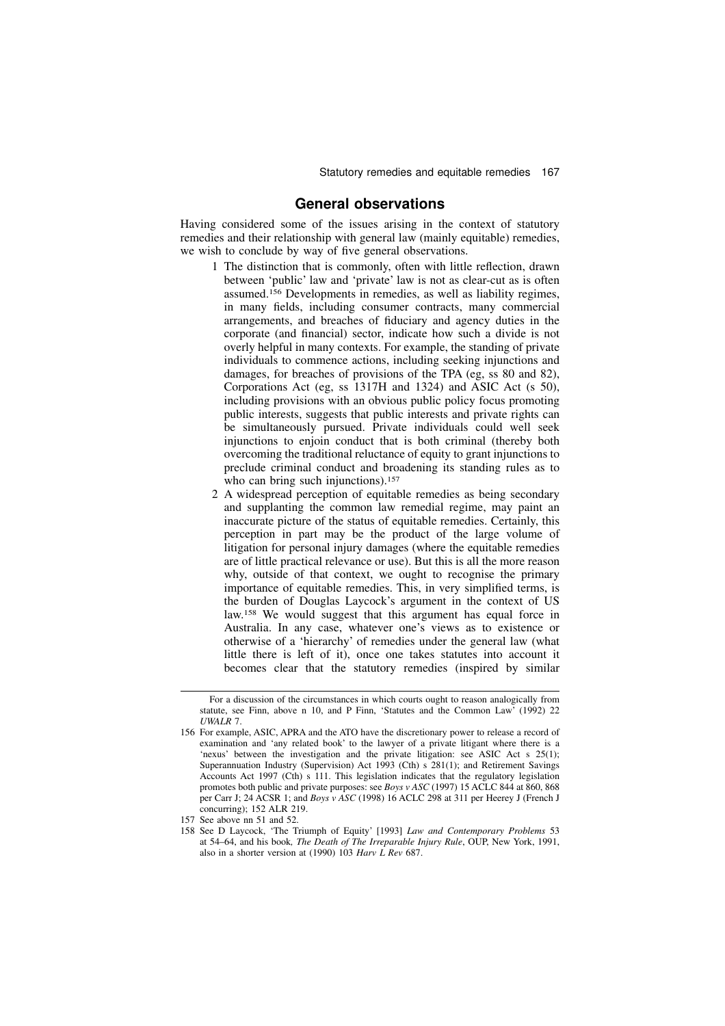### General observations

Having considered some of the issues arising in the context of statutory remedies and their relationship with general law (mainly equitable) remedies, we wish to conclude by way of five general observations.

- 1 The distinction that is commonly, often with little reflection, drawn between 'public' law and 'private' law is not as clear-cut as is often assumed.<sup>156</sup> Developments in remedies, as well as liability regimes, in many fields, including consumer contracts, many commercial arrangements, and breaches of fiduciary and agency duties in the corporate (and financial) sector, indicate how such a divide is not overly helpful in many contexts. For example, the standing of private individuals to commence actions, including seeking injunctions and damages, for breaches of provisions of the TPA (eg, ss 80 and 82), Corporations Act (eg, ss 1317H and 1324) and ASIC Act (s 50), including provisions with an obvious public policy focus promoting public interests, suggests that public interests and private rights can be simultaneously pursued. Private individuals could well seek injunctions to enjoin conduct that is both criminal (thereby both overcoming the traditional reluctance of equity to grant injunctions to preclude criminal conduct and broadening its standing rules as to who can bring such injunctions).<sup>157</sup>
- 2 A widespread perception of equitable remedies as being secondary and supplanting the common law remedial regime, may paint an inaccurate picture of the status of equitable remedies. Certainly, this perception in part may be the product of the large volume of litigation for personal injury damages (where the equitable remedies are of little practical relevance or use). But this is all the more reason why, outside of that context, we ought to recognise the primary importance of equitable remedies. This, in very simplified terms, is the burden of Douglas Laycock's argument in the context of US law.<sup>158</sup> We would suggest that this argument has equal force in Australia. In any case, whatever one's views as to existence or otherwise of a 'hierarchy' of remedies under the general law (what little there is left of it), once one takes statutes into account it becomes clear that the statutory remedies (inspired by similar

For a discussion of the circumstances in which courts ought to reason analogically from statute, see Finn, above n 10, and P Finn, 'Statutes and the Common Law' (1992) 22 UWALR 7.

<sup>156</sup> For example, ASIC, APRA and the ATO have the discretionary power to release a record of examination and 'any related book' to the lawyer of a private litigant where there is a 'nexus' between the investigation and the private litigation: see ASIC Act s 25(1); Superannuation Industry (Supervision) Act 1993 (Cth) s 281(1); and Retirement Savings Accounts Act 1997 (Cth) s 111. This legislation indicates that the regulatory legislation promotes both public and private purposes: see *Boys v ASC* (1997) 15 ACLC 844 at 860, 868 per Carr J; 24 ACSR 1; and Boys v ASC (1998) 16 ACLC 298 at 311 per Heerey J (French J concurring); 152 ALR 219.

<sup>157</sup> See above nn 51 and 52.

<sup>158</sup> See D Laycock, 'The Triumph of Equity' [1993] Law and Contemporary Problems 53 at 54–64, and his book, The Death of The Irreparable Injury Rule, OUP, New York, 1991, also in a shorter version at (1990) 103 Harv  $\hat{L}$  Rev 687.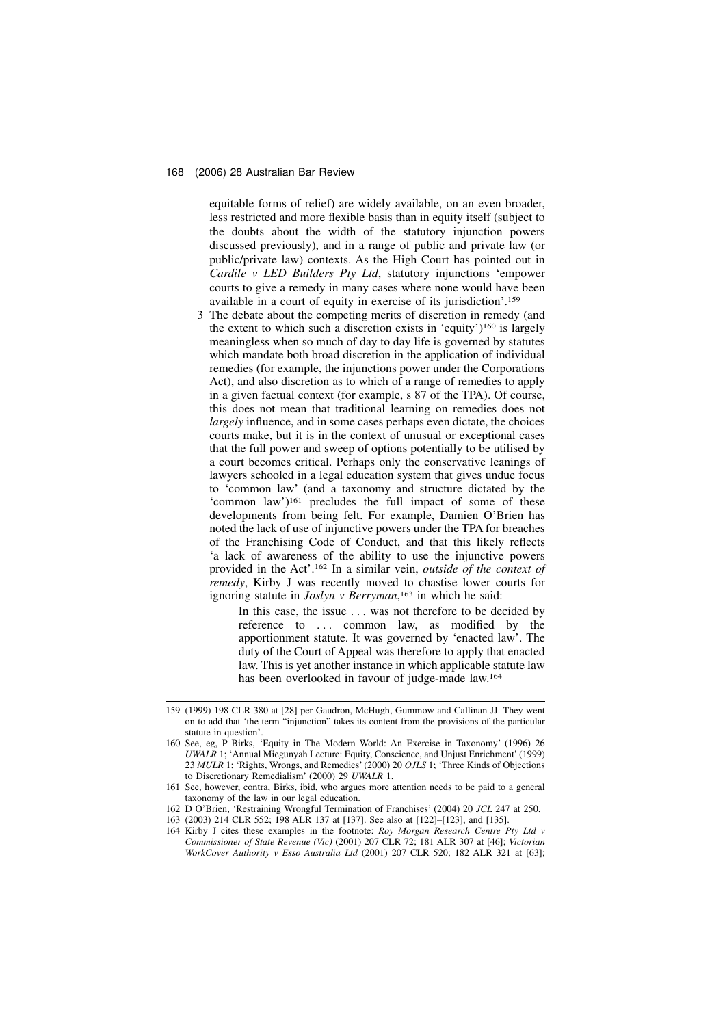equitable forms of relief) are widely available, on an even broader, less restricted and more flexible basis than in equity itself (subject to the doubts about the width of the statutory injunction powers discussed previously), and in a range of public and private law (or public/private law) contexts. As the High Court has pointed out in Cardile v LED Builders Pty Ltd, statutory injunctions 'empower courts to give a remedy in many cases where none would have been available in a court of equity in exercise of its jurisdiction'.<sup>159</sup>

3 The debate about the competing merits of discretion in remedy (and the extent to which such a discretion exists in 'equity')<sup>160</sup> is largely meaningless when so much of day to day life is governed by statutes which mandate both broad discretion in the application of individual remedies (for example, the injunctions power under the Corporations Act), and also discretion as to which of a range of remedies to apply in a given factual context (for example, s 87 of the TPA). Of course, this does not mean that traditional learning on remedies does not largely influence, and in some cases perhaps even dictate, the choices courts make, but it is in the context of unusual or exceptional cases that the full power and sweep of options potentially to be utilised by a court becomes critical. Perhaps only the conservative leanings of lawyers schooled in a legal education system that gives undue focus to 'common law' (and a taxonomy and structure dictated by the 'common law')<sup>161</sup> precludes the full impact of some of these developments from being felt. For example, Damien O'Brien has noted the lack of use of injunctive powers under the TPA for breaches of the Franchising Code of Conduct, and that this likely reflects 'a lack of awareness of the ability to use the injunctive powers provided in the Act'.<sup>162</sup> In a similar vein, outside of the context of remedy, Kirby J was recently moved to chastise lower courts for ignoring statute in *Joslyn v Berryman*,<sup>163</sup> in which he said:

> In this case, the issue . . . was not therefore to be decided by reference to ... common law, as modified by the apportionment statute. It was governed by 'enacted law'. The duty of the Court of Appeal was therefore to apply that enacted law. This is yet another instance in which applicable statute law has been overlooked in favour of judge-made law.<sup>164</sup>

<sup>159 (1999) 198</sup> CLR 380 at [28] per Gaudron, McHugh, Gummow and Callinan JJ. They went on to add that 'the term "injunction" takes its content from the provisions of the particular statute in question'.

<sup>160</sup> See, eg, P Birks, 'Equity in The Modern World: An Exercise in Taxonomy' (1996) 26 UWALR 1; 'Annual Miegunyah Lecture: Equity, Conscience, and Unjust Enrichment' (1999) 23 MULR 1; 'Rights, Wrongs, and Remedies' (2000) 20 OJLS 1; 'Three Kinds of Objections to Discretionary Remedialism' (2000) 29 UWALR 1.

<sup>161</sup> See, however, contra, Birks, ibid, who argues more attention needs to be paid to a general taxonomy of the law in our legal education.

<sup>162</sup> D O'Brien, 'Restraining Wrongful Termination of Franchises' (2004) 20 JCL 247 at 250.

<sup>163 (2003) 214</sup> CLR 552; 198 ALR 137 at [137]. See also at [122]–[123], and [135].

<sup>164</sup> Kirby J cites these examples in the footnote: Roy Morgan Research Centre Pty Ltd v Commissioner of State Revenue (Vic) (2001) 207 CLR 72; 181 ALR 307 at [46]; Victorian WorkCover Authority v Esso Australia Ltd (2001) 207 CLR 520; 182 ALR 321 at [63];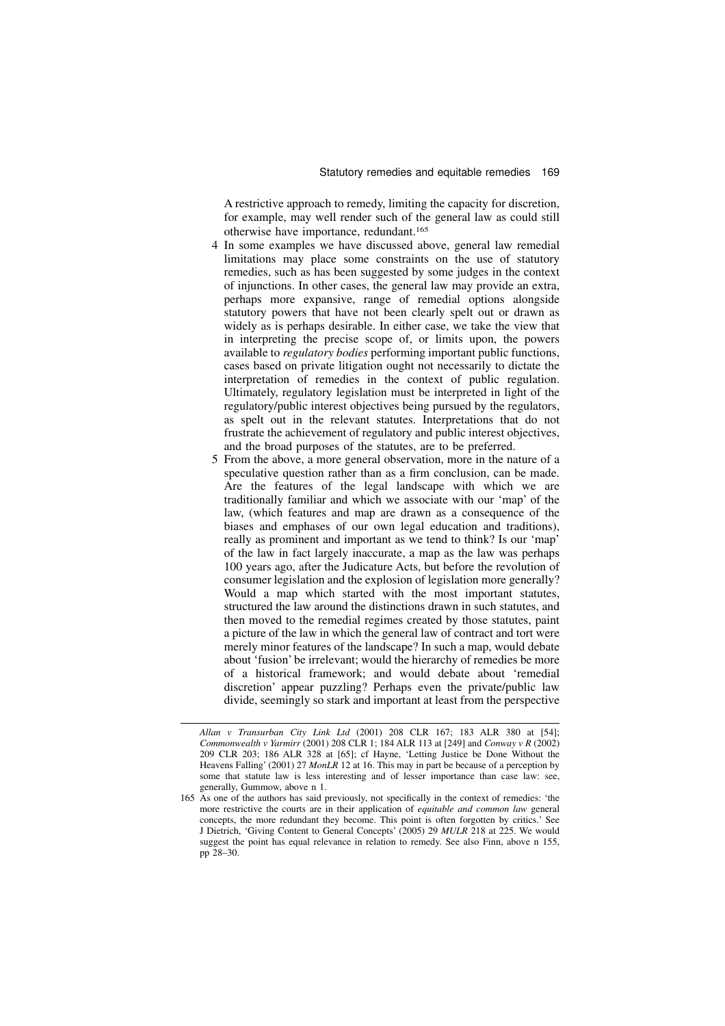A restrictive approach to remedy, limiting the capacity for discretion, for example, may well render such of the general law as could still otherwise have importance, redundant.<sup>165</sup>

- 4 In some examples we have discussed above, general law remedial limitations may place some constraints on the use of statutory remedies, such as has been suggested by some judges in the context of injunctions. In other cases, the general law may provide an extra, perhaps more expansive, range of remedial options alongside statutory powers that have not been clearly spelt out or drawn as widely as is perhaps desirable. In either case, we take the view that in interpreting the precise scope of, or limits upon, the powers available to regulatory bodies performing important public functions, cases based on private litigation ought not necessarily to dictate the interpretation of remedies in the context of public regulation. Ultimately, regulatory legislation must be interpreted in light of the regulatory/public interest objectives being pursued by the regulators, as spelt out in the relevant statutes. Interpretations that do not frustrate the achievement of regulatory and public interest objectives, and the broad purposes of the statutes, are to be preferred.
- 5 From the above, a more general observation, more in the nature of a speculative question rather than as a firm conclusion, can be made. Are the features of the legal landscape with which we are traditionally familiar and which we associate with our 'map' of the law, (which features and map are drawn as a consequence of the biases and emphases of our own legal education and traditions), really as prominent and important as we tend to think? Is our 'map' of the law in fact largely inaccurate, a map as the law was perhaps 100 years ago, after the Judicature Acts, but before the revolution of consumer legislation and the explosion of legislation more generally? Would a map which started with the most important statutes, structured the law around the distinctions drawn in such statutes, and then moved to the remedial regimes created by those statutes, paint a picture of the law in which the general law of contract and tort were merely minor features of the landscape? In such a map, would debate about 'fusion' be irrelevant; would the hierarchy of remedies be more of a historical framework; and would debate about 'remedial discretion' appear puzzling? Perhaps even the private/public law divide, seemingly so stark and important at least from the perspective

Allan v Transurban City Link Ltd (2001) 208 CLR 167; 183 ALR 380 at [54]; Commonwealth v Yarmirr (2001) 208 CLR 1: 184 ALR 113 at [249] and Conway v R (2002) 209 CLR 203; 186 ALR 328 at [65]; cf Hayne, 'Letting Justice be Done Without the Heavens Falling' (2001) 27 MonLR 12 at 16. This may in part be because of a perception by some that statute law is less interesting and of lesser importance than case law: see, generally, Gummow, above n 1.

<sup>165</sup> As one of the authors has said previously, not specifically in the context of remedies: 'the more restrictive the courts are in their application of *equitable and common law* general concepts, the more redundant they become. This point is often forgotten by critics.' See J Dietrich, 'Giving Content to General Concepts' (2005) 29 MULR 218 at 225. We would suggest the point has equal relevance in relation to remedy. See also Finn, above n 155, pp 28–30.